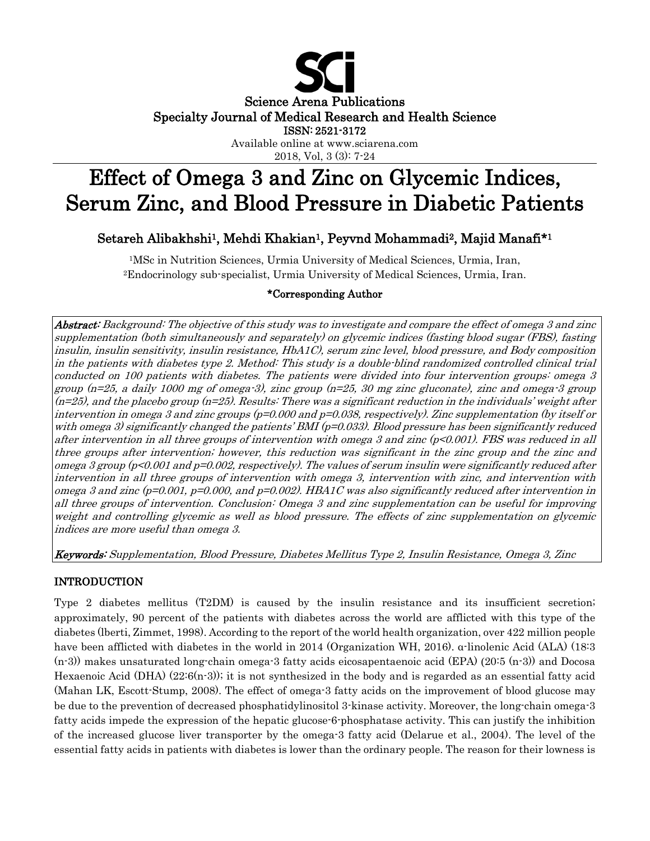

# Effect of Omega 3 and Zinc on Glycemic Indices, Serum Zinc, and Blood Pressure in Diabetic Patients

# Setareh Alibakhshi<sup>1</sup>, Mehdi Khakian<sup>1</sup>, Peyvnd Mohammadi<sup>2</sup>, Majid Manafi<sup>\*1</sup>

1MSc in Nutrition Sciences, Urmia University of Medical Sciences, Urmia, Iran, 2Endocrinology sub-specialist, Urmia University of Medical Sciences, Urmia, Iran.

## \*Corresponding Author

Abstract: Background: The objective of this study was to investigate and compare the effect of omega 3 and zinc supplementation (both simultaneously and separately) on glycemic indices (fasting blood sugar (FBS), fasting insulin, insulin sensitivity, insulin resistance, HbA1C), serum zinc level, blood pressure, and Body composition in the patients with diabetes type 2. Method: This study is a double-blind randomized controlled clinical trial conducted on 100 patients with diabetes. The patients were divided into four intervention groups: omega 3 group (n=25, a daily 1000 mg of omega-3), zinc group (n=25, 30 mg zinc gluconate), zinc and omega-3 group  $(n=25)$ , and the placebo group  $(n=25)$ . Results: There was a significant reduction in the individuals' weight after intervention in omega 3 and zinc groups (p=0.000 and p=0.038, respectively). Zinc supplementation (by itself or with omega 3) significantly changed the patients' BMI ( $p=0.033$ ). Blood pressure has been significantly reduced after intervention in all three groups of intervention with omega 3 and zinc (p<0.001). FBS was reduced in all three groups after intervention; however, this reduction was significant in the zinc group and the zinc and omega 3 group (p<0.001 and p=0.002, respectively). The values of serum insulin were significantly reduced after intervention in all three groups of intervention with omega 3, intervention with zinc, and intervention with omega 3 and zinc (p=0.001, p=0.000, and p=0.002). HBA1C was also significantly reduced after intervention in all three groups of intervention. Conclusion: Omega 3 and zinc supplementation can be useful for improving weight and controlling glycemic as well as blood pressure. The effects of zinc supplementation on glycemic indices are more useful than omega 3.

Keywords: Supplementation, Blood Pressure, Diabetes Mellitus Type 2, Insulin Resistance, Omega 3, Zinc

# INTRODUCTION

Type 2 diabetes mellitus (T2DM) is caused by the insulin resistance and its insufficient secretion; approximately, 90 percent of the patients with diabetes across the world are afflicted with this type of the diabetes (lberti, Zimmet, 1998). According to the report of the world health organization, over 422 million people have been afflicted with diabetes in the world in 2014 (Organization WH, 2016). α-linolenic Acid (ALA) (18:3 (n-3)) makes unsaturated long-chain omega-3 fatty acids eicosapentaenoic acid (EPA) (20:5 (n-3)) and Docosa Hexaenoic Acid (DHA) (22:6(n-3)); it is not synthesized in the body and is regarded as an essential fatty acid (Mahan LK, Escott-Stump, 2008). The effect of omega-3 fatty acids on the improvement of blood glucose may be due to the prevention of decreased phosphatidylinositol 3-kinase activity. Moreover, the long-chain omega-3 fatty acids impede the expression of the hepatic glucose-6-phosphatase activity. This can justify the inhibition of the increased glucose liver transporter by the omega-3 fatty acid (Delarue et al., 2004). The level of the essential fatty acids in patients with diabetes is lower than the ordinary people. The reason for their lowness is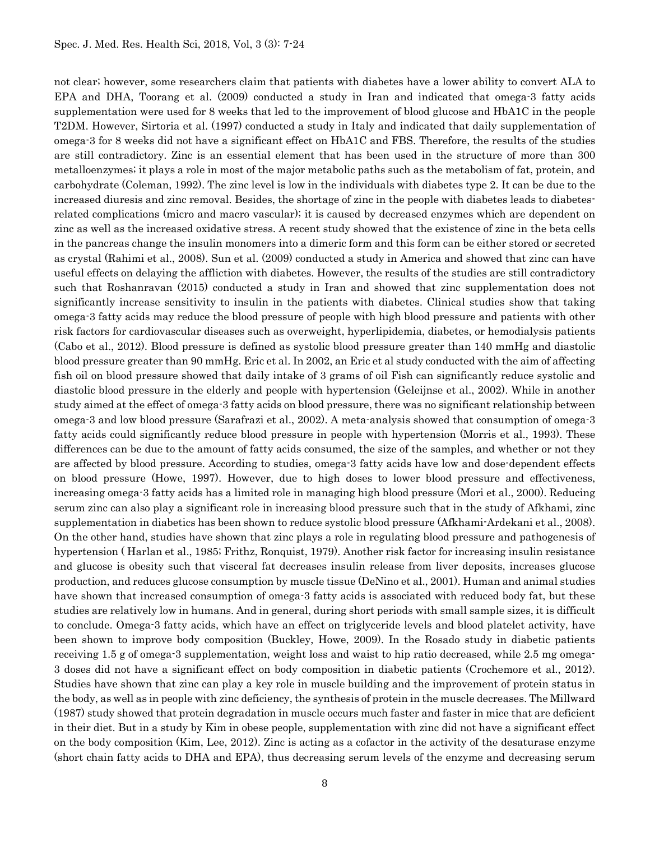not clear; however, some researchers claim that patients with diabetes have a lower ability to convert ALA to EPA and DHA, Toorang et al. (2009) conducted a study in Iran and indicated that omega-3 fatty acids supplementation were used for 8 weeks that led to the improvement of blood glucose and HbA1C in the people T2DM. However, Sirtoria et al. (1997) conducted a study in Italy and indicated that daily supplementation of omega-3 for 8 weeks did not have a significant effect on HbA1C and FBS. Therefore, the results of the studies are still contradictory. Zinc is an essential element that has been used in the structure of more than 300 metalloenzymes; it plays a role in most of the major metabolic paths such as the metabolism of fat, protein, and carbohydrate (Coleman, 1992). The zinc level is low in the individuals with diabetes type 2. It can be due to the increased diuresis and zinc removal. Besides, the shortage of zinc in the people with diabetes leads to diabetesrelated complications (micro and macro vascular); it is caused by decreased enzymes which are dependent on zinc as well as the increased oxidative stress. A recent study showed that the existence of zinc in the beta cells in the pancreas change the insulin monomers into a dimeric form and this form can be either stored or secreted as crystal (Rahimi et al., 2008). Sun et al. (2009) conducted a study in America and showed that zinc can have useful effects on delaying the affliction with diabetes. However, the results of the studies are still contradictory such that Roshanravan (2015) conducted a study in Iran and showed that zinc supplementation does not significantly increase sensitivity to insulin in the patients with diabetes. Clinical studies show that taking omega-3 fatty acids may reduce the blood pressure of people with high blood pressure and patients with other risk factors for cardiovascular diseases such as overweight, hyperlipidemia, diabetes, or hemodialysis patients (Cabo et al., 2012). Blood pressure is defined as systolic blood pressure greater than 140 mmHg and diastolic blood pressure greater than 90 mmHg. Eric et al. In 2002, an Eric et al study conducted with the aim of affecting fish oil on blood pressure showed that daily intake of 3 grams of oil Fish can significantly reduce systolic and diastolic blood pressure in the elderly and people with hypertension (Geleijnse et al., 2002). While in another study aimed at the effect of omega-3 fatty acids on blood pressure, there was no significant relationship between omega-3 and low blood pressure (Sarafrazi et al., 2002). A meta-analysis showed that consumption of omega-3 fatty acids could significantly reduce blood pressure in people with hypertension (Morris et al., 1993). These differences can be due to the amount of fatty acids consumed, the size of the samples, and whether or not they are affected by blood pressure. According to studies, omega-3 fatty acids have low and dose-dependent effects on blood pressure (Howe, 1997). However, due to high doses to lower blood pressure and effectiveness, increasing omega-3 fatty acids has a limited role in managing high blood pressure (Mori et al., 2000). Reducing serum zinc can also play a significant role in increasing blood pressure such that in the study of Afkhami, zinc supplementation in diabetics has been shown to reduce systolic blood pressure (Afkhami-Ardekani et al., 2008). On the other hand, studies have shown that zinc plays a role in regulating blood pressure and pathogenesis of hypertension ( Harlan et al., 1985; Frithz, Ronquist, 1979). Another risk factor for increasing insulin resistance and glucose is obesity such that visceral fat decreases insulin release from liver deposits, increases glucose production, and reduces glucose consumption by muscle tissue (DeNino et al., 2001). Human and animal studies have shown that increased consumption of omega-3 fatty acids is associated with reduced body fat, but these studies are relatively low in humans. And in general, during short periods with small sample sizes, it is difficult to conclude. Omega-3 fatty acids, which have an effect on triglyceride levels and blood platelet activity, have been shown to improve body composition (Buckley, Howe, 2009). In the Rosado study in diabetic patients receiving 1.5 g of omega-3 supplementation, weight loss and waist to hip ratio decreased, while 2.5 mg omega-3 doses did not have a significant effect on body composition in diabetic patients (Crochemore et al., 2012). Studies have shown that zinc can play a key role in muscle building and the improvement of protein status in the body, as well as in people with zinc deficiency, the synthesis of protein in the muscle decreases. The Millward (1987) study showed that protein degradation in muscle occurs much faster and faster in mice that are deficient in their diet. But in a study by Kim in obese people, supplementation with zinc did not have a significant effect on the body composition (Kim, Lee, 2012). Zinc is acting as a cofactor in the activity of the desaturase enzyme (short chain fatty acids to DHA and EPA), thus decreasing serum levels of the enzyme and decreasing serum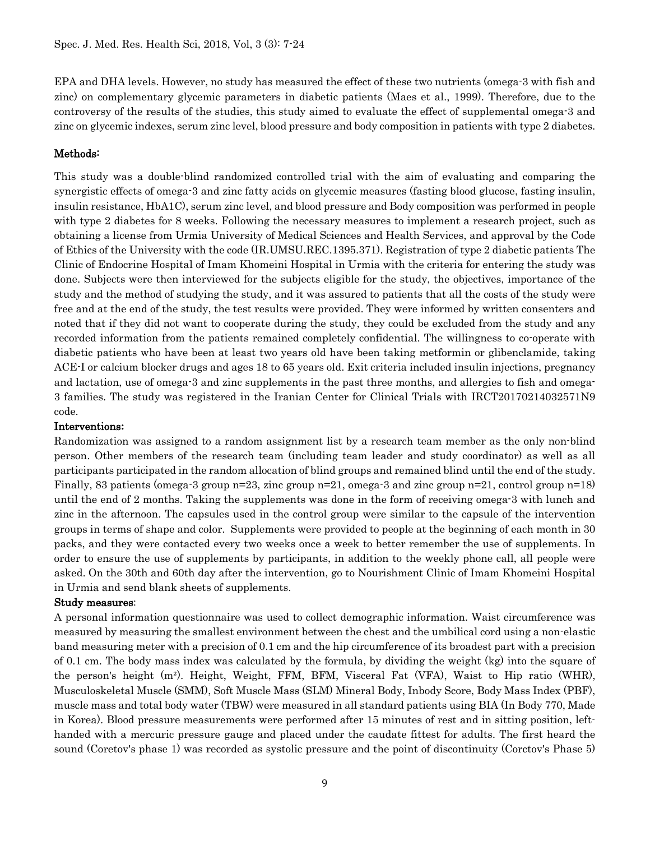EPA and DHA levels. However, no study has measured the effect of these two nutrients (omega-3 with fish and zinc) on complementary glycemic parameters in diabetic patients (Maes et al., 1999). Therefore, due to the controversy of the results of the studies, this study aimed to evaluate the effect of supplemental omega-3 and zinc on glycemic indexes, serum zinc level, blood pressure and body composition in patients with type 2 diabetes.

## Methods:

This study was a double-blind randomized controlled trial with the aim of evaluating and comparing the synergistic effects of omega-3 and zinc fatty acids on glycemic measures (fasting blood glucose, fasting insulin, insulin resistance, HbA1C), serum zinc level, and blood pressure and Body composition was performed in people with type 2 diabetes for 8 weeks. Following the necessary measures to implement a research project, such as obtaining a license from Urmia University of Medical Sciences and Health Services, and approval by the Code of Ethics of the University with the code (IR.UMSU.REC.1395.371). Registration of type 2 diabetic patients The Clinic of Endocrine Hospital of Imam Khomeini Hospital in Urmia with the criteria for entering the study was done. Subjects were then interviewed for the subjects eligible for the study, the objectives, importance of the study and the method of studying the study, and it was assured to patients that all the costs of the study were free and at the end of the study, the test results were provided. They were informed by written consenters and noted that if they did not want to cooperate during the study, they could be excluded from the study and any recorded information from the patients remained completely confidential. The willingness to co-operate with diabetic patients who have been at least two years old have been taking metformin or glibenclamide, taking ACE-I or calcium blocker drugs and ages 18 to 65 years old. Exit criteria included insulin injections, pregnancy and lactation, use of omega-3 and zinc supplements in the past three months, and allergies to fish and omega-3 families. The study was registered in the Iranian Center for Clinical Trials with IRCT20170214032571N9 code.

### Interventions**:**

Randomization was assigned to a random assignment list by a research team member as the only non-blind person. Other members of the research team (including team leader and study coordinator) as well as all participants participated in the random allocation of blind groups and remained blind until the end of the study. Finally, 83 patients (omega-3 group n=23, zinc group n=21, omega-3 and zinc group n=21, control group n=18) until the end of 2 months. Taking the supplements was done in the form of receiving omega-3 with lunch and zinc in the afternoon. The capsules used in the control group were similar to the capsule of the intervention groups in terms of shape and color. Supplements were provided to people at the beginning of each month in 30 packs, and they were contacted every two weeks once a week to better remember the use of supplements. In order to ensure the use of supplements by participants, in addition to the weekly phone call, all people were asked. On the 30th and 60th day after the intervention, go to Nourishment Clinic of Imam Khomeini Hospital in Urmia and send blank sheets of supplements.

#### Study measures:

A personal information questionnaire was used to collect demographic information. Waist circumference was measured by measuring the smallest environment between the chest and the umbilical cord using a non-elastic band measuring meter with a precision of 0.1 cm and the hip circumference of its broadest part with a precision of 0.1 cm. The body mass index was calculated by the formula, by dividing the weight (kg) into the square of the person's height (m²). Height, Weight, FFM, BFM, Visceral Fat (VFA), Waist to Hip ratio (WHR), Musculoskeletal Muscle (SMM), Soft Muscle Mass (SLM) Mineral Body, Inbody Score, Body Mass Index (PBF), muscle mass and total body water (TBW) were measured in all standard patients using BIA (In Body 770, Made in Korea). Blood pressure measurements were performed after 15 minutes of rest and in sitting position, lefthanded with a mercuric pressure gauge and placed under the caudate fittest for adults. The first heard the sound (Coretov's phase 1) was recorded as systolic pressure and the point of discontinuity (Corctov's Phase 5)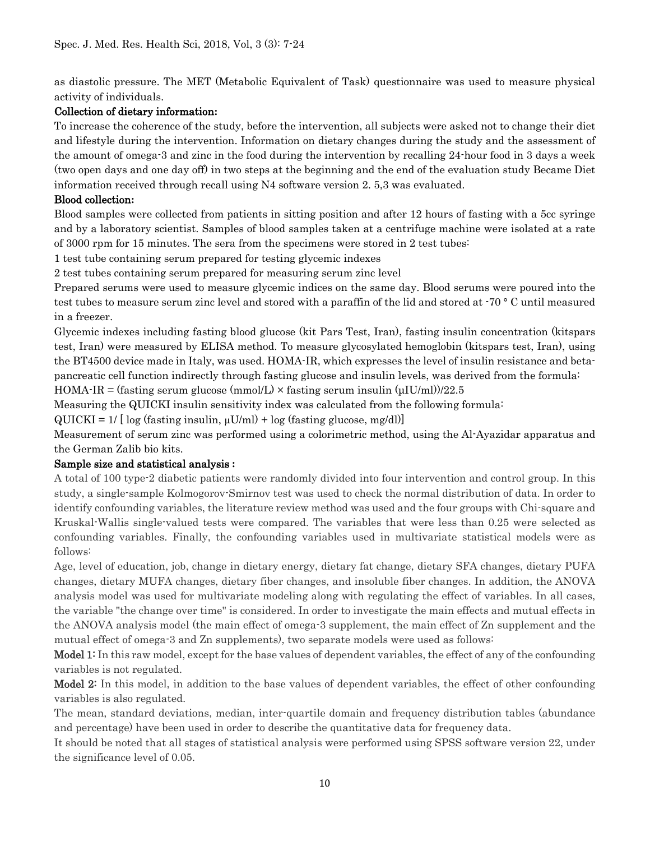as diastolic pressure. The MET (Metabolic Equivalent of Task) questionnaire was used to measure physical activity of individuals.

# Collection of dietary information**:**

To increase the coherence of the study, before the intervention, all subjects were asked not to change their diet and lifestyle during the intervention. Information on dietary changes during the study and the assessment of the amount of omega-3 and zinc in the food during the intervention by recalling 24-hour food in 3 days a week (two open days and one day off) in two steps at the beginning and the end of the evaluation study Became Diet information received through recall using N4 software version 2. 5,3 was evaluated.

# Blood collection**:**

Blood samples were collected from patients in sitting position and after 12 hours of fasting with a 5cc syringe and by a laboratory scientist. Samples of blood samples taken at a centrifuge machine were isolated at a rate of 3000 rpm for 15 minutes. The sera from the specimens were stored in 2 test tubes:

1 test tube containing serum prepared for testing glycemic indexes

2 test tubes containing serum prepared for measuring serum zinc level

Prepared serums were used to measure glycemic indices on the same day. Blood serums were poured into the test tubes to measure serum zinc level and stored with a paraffin of the lid and stored at -70 ° C until measured in a freezer.

Glycemic indexes including fasting blood glucose (kit Pars Test, Iran), fasting insulin concentration (kitspars test, Iran) were measured by ELISA method. To measure glycosylated hemoglobin (kitspars test, Iran), using the BT4500 device made in Italy, was used. HOMA-IR, which expresses the level of insulin resistance and betapancreatic cell function indirectly through fasting glucose and insulin levels, was derived from the formula:

HOMA-IR = (fasting serum glucose (mmol/L)  $\times$  fasting serum insulin ( $\mu$ IU/ml))/22.5

Measuring the QUICKI insulin sensitivity index was calculated from the following formula:

 $\text{QUICKI} = 1/ [\log (\text{fasting insulin}, \mu\text{U/ml}) + \log (\text{fasting glucose}, \text{mg/dI})]$ 

Measurement of serum zinc was performed using a colorimetric method, using the Al-Ayazidar apparatus and the German Zalib bio kits.

# Sample size and statistical analysis **:**

A total of 100 type-2 diabetic patients were randomly divided into four intervention and control group. In this study, a single-sample Kolmogorov-Smirnov test was used to check the normal distribution of data. In order to identify confounding variables, the literature review method was used and the four groups with Chi-square and Kruskal-Wallis single-valued tests were compared. The variables that were less than 0.25 were selected as confounding variables. Finally, the confounding variables used in multivariate statistical models were as follows:

Age, level of education, job, change in dietary energy, dietary fat change, dietary SFA changes, dietary PUFA changes, dietary MUFA changes, dietary fiber changes, and insoluble fiber changes. In addition, the ANOVA analysis model was used for multivariate modeling along with regulating the effect of variables. In all cases, the variable "the change over time" is considered. In order to investigate the main effects and mutual effects in the ANOVA analysis model (the main effect of omega-3 supplement, the main effect of Zn supplement and the mutual effect of omega-3 and Zn supplements), two separate models were used as follows:

Model 1: In this raw model, except for the base values of dependent variables, the effect of any of the confounding variables is not regulated.

Model 2: In this model, in addition to the base values of dependent variables, the effect of other confounding variables is also regulated.

The mean, standard deviations, median, inter-quartile domain and frequency distribution tables (abundance and percentage) have been used in order to describe the quantitative data for frequency data.

It should be noted that all stages of statistical analysis were performed using SPSS software version 22, under the significance level of 0.05.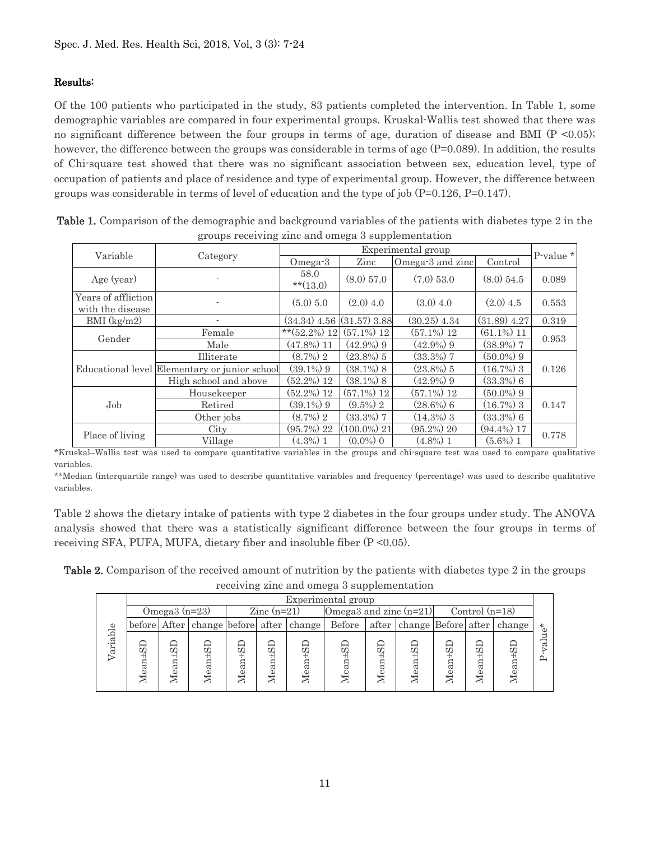## Results:

Of the 100 patients who participated in the study, 83 patients completed the intervention. In Table 1, some demographic variables are compared in four experimental groups. Kruskal-Wallis test showed that there was no significant difference between the four groups in terms of age, duration of disease and BMI (P <0.05); however, the difference between the groups was considerable in terms of age (P=0.089). In addition, the results of Chi-square test showed that there was no significant association between sex, education level, type of occupation of patients and place of residence and type of experimental group. However, the difference between groups was considerable in terms of level of education and the type of job (P=0.126, P=0.147).

|                                         | $\Box$                                        |                                |                |                    |                |           |
|-----------------------------------------|-----------------------------------------------|--------------------------------|----------------|--------------------|----------------|-----------|
|                                         |                                               |                                |                | Experimental group |                | P-value * |
| Variable                                | Category                                      | Omega-3                        | Zinc           | Omega-3 and zinc   | Control        |           |
| Age (year)                              |                                               | 58.0<br>$**(13.0)$             | $(8.0)$ 57.0   | $(7.0)$ 53.0       | $(8.0)$ 54.5   | 0.089     |
| Years of affliction<br>with the disease |                                               | (5.0) 5.0                      | $(2.0)$ 4.0    | $(3.0)$ 4.0        | $(2.0)$ 4.5    | 0.553     |
| $BMI$ (kg/m2)                           |                                               | $(34.34)$ 4.56 $(31.57)$ 3.88  |                | $(30.25)$ 4.34     | $(31.89)$ 4.27 | 0.319     |
| Gender                                  | Female                                        | ** $(52.2\%)$ 12 $(57.1\%)$ 12 |                | $(57.1\%) 12$      | $(61.1\%)$ 11  | 0.953     |
|                                         | Male                                          | $(47.8\%)$ 11                  | $(42.9\%)$ 9   | $(42.9\%)$ 9       | $(38.9\%)$ 7   |           |
|                                         | Illiterate                                    | $(8.7\%)$ 2                    | $(23.8\%)$ 5   | $(33.3\%)$ 7       | $(50.0\%)$ 9   |           |
|                                         | Educational level Elementary or junior school | $(39.1\%)$ 9                   | $(38.1\%)$ 8   | $(23.8\%)$ 5       | $(16.7\%)$ 3   | 0.126     |
|                                         | High school and above                         | $(52.2\%)$ 12                  | $(38.1\%)$ 8   | $(42.9\%)$ 9       | $(33.3\%)$ 6   |           |
|                                         | Housekeeper                                   | $(52.2\%)$ 12                  | $(57.1\%)$ 12  | $(57.1\%) 12$      | $(50.0\%)$ 9   |           |
| Job                                     | Retired                                       | $(39.1\%)$ 9                   | $(9.5\%)$ 2    | $(28.6\%)$ 6       | $(16.7\%)$ 3   | 0.147     |
|                                         | Other jobs                                    | $(8.7\%)$ 2                    | $(33.3\%)$ 7   | $(14.3\%)$ 3       | $(33.3\%)$ 6   |           |
|                                         | City                                          | $(95.7\%)$ 22                  | $(100.0\%)$ 21 | $(95.2\%) 20$      | $(94.4\%)$ 17  | 0.778     |
| Place of living                         | Village                                       | $(4.3\%)$ 1                    | $(0.0\%)$ 0    | $(4.8\%)$ 1        | $(5.6\%)$ 1    |           |

| Table 1. Comparison of the demographic and background variables of the patients with diabetes type 2 in the |
|-------------------------------------------------------------------------------------------------------------|
| groups receiving zinc and omega 3 supplementation                                                           |

\*Kruskal–Wallis test was used to compare quantitative variables in the groups and chi-square test was used to compare qualitative variables.

\*\*Median (interquartile range) was used to describe quantitative variables and frequency (percentage) was used to describe qualitative variables.

Table 2 shows the dietary intake of patients with type 2 diabetes in the four groups under study. The ANOVA analysis showed that there was a statistically significant difference between the four groups in terms of receiving SFA, PUFA, MUFA, dietary fiber and insoluble fiber (P <0.05).

Table 2. Comparison of the received amount of nutrition by the patients with diabetes type 2 in the groups receiving zinc and omega 3 supplementation

|         |             |                 |               |       |                      |                                         |                          | . .                |               |         |                  |                                  |                     |
|---------|-------------|-----------------|---------------|-------|----------------------|-----------------------------------------|--------------------------|--------------------|---------------|---------|------------------|----------------------------------|---------------------|
|         |             |                 |               |       |                      |                                         | Experimental group       |                    |               |         |                  |                                  |                     |
|         |             | Omega $3(n=23)$ |               |       | $\text{Zinc}$ (n=21) |                                         | Omega3 and zinc $(n=21)$ |                    |               |         | Control $(n=18)$ |                                  |                     |
|         |             |                 |               |       |                      | before After change before after change | <b>Before</b>            |                    |               |         |                  | after change Before after change | $\star$<br>$\Omega$ |
| ariable | ean±SI<br>↽ | $Mean + SD$     | $Mean \pm SI$ | Aean: | $Mean + SI$          | $Mean \pm SI$                           |                          | w<br>ä<br>$\omega$ | $Mean \pm SI$ | Mean±SI |                  |                                  |                     |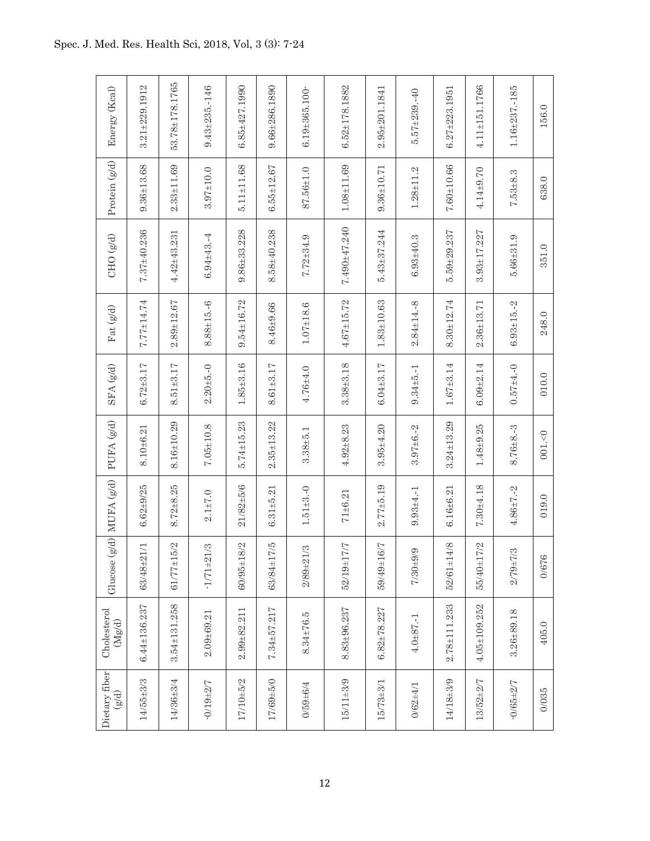| Energy (Kcal)                                                            | $3.21 + 229.1912$              | 53.78±178.1765     | $9.43 + 235 - 146$             | $6.85 + 427.1990$ | $9.66 + 286.1890$ | $6.19 \pm 365.100$            | $6.52 \pm 178.1882$ | $2.95 + 201.1841$ | $5.57 + 239 - 40$ | $6.27 + 223.1951$ | $4.11 \pm 151.1766$ | $1.16 + 237 - 185$ | 156.0   |
|--------------------------------------------------------------------------|--------------------------------|--------------------|--------------------------------|-------------------|-------------------|-------------------------------|---------------------|-------------------|-------------------|-------------------|---------------------|--------------------|---------|
| Protein $({\bf g}/{\bf d})$                                              | $9.36 + 13.68$                 | $2.33 + 11.69$     | $3.97 + 10.0$                  | $5.11 \pm 11.68$  | $6.55 + 12.67$    | 87.56±1.0                     | $1.08 + 11.69$      | $9.36 + 10.71$    | $1.28 + 11.2$     | $7.60 + 10.66$    | $4.14 + 9.70$       | $7.53 + 8.3$       | 638.0   |
| CHO $(g/d)$                                                              | $7.37 + 40.236$                | $4.42 + 43.231$    | $6.94 + 43.4$                  | $9.86 + 33.228$   | $8.58 + 40.238$   | $7.72 + 34.9$                 | $7.490 + 47.240$    | $5.43 + 37.244$   | $6.93 + 40.3$     | $5.59 + 29.237$   | $3.93 + 17.227$     | $5.66 + 31.9$      | 351.0   |
| Fat (g/d)                                                                | 7.77±14.74                     | $2.89 + 12.67$     | $8.88 + 15.6$                  | $9.54 \pm 16.72$  | $8.46 + 9.66$     | $1.07 \pm 18.6$               | $4.67 + 15.72$      | $1.83 + 10.63$    | $2.84 \pm 14. -8$ | $8.30 + 12.74$    | $2.36 + 13.71$      | $6.93 \pm 15. -2$  | 248.0   |
| $\text{SFA}\left(\mathbf{g/d}\right)$                                    | $6.72 + 3.17$                  | $8.51 \pm 3.17$    | $2.20 + 5 - 0$                 | $1.85 + 3.16$     | $8.61 + 3.17$     | $4.76 + 4.0$                  | $3.38 + 3.18$       | $6.04 \pm 3.17$   | $9.34 + 5 - 1$    | $1.67 \pm 3.14$   | $6.09 + 2.14$       | $0.57 + 4.0$       | $010.0$ |
| PUFA (g/d)                                                               | $8.10 + 6.21$                  | $8.16 + 10.29$     | $7.05 \pm 10.8$                | $5.74 + 15.23$    | $2.35 + 13.22$    | $3.38 + 5.1$                  | $4.92 + 8.23$       | $3.95 + 4.20$     | $3.97 + 6. -2$    | $3.24 + 13.29$    | $1.48 + 9.25$       | $8.76 + 8.3$       | 001,<0  |
| $\left\vert \mathrm{B/d}\right\rangle$ MUFA $\left( \mathrm{g/d}\right)$ | $6.62 + 9/25$                  | $8.72 + 8.25$      | $2.1 + 7.0$                    | $21/82 + 5/6$     | $6.31 + 5.21$     | $1.51 + 3. -0$                | $71 \pm 6.21$       | $2.77 + 5.19$     | $9.93 + 4. -1$    | $6.16 + 6.21$     | $7.30 + 4.18$       | $4.86 + 7 - 2$     | 019.0   |
| Glucose                                                                  | $\overline{11}$<br>$63/48 + 2$ | $61/77 + 15/2$     | $\mathfrak{S}$<br>$-1/71 + 21$ | $60/95 \pm 18/2$  | 63/84±17/5        | $\mathfrak{S}$<br>$2/89 + 21$ | 52/19±17/7          | 59/49±16/7        | G<br>$7/30 + 9/$  | $52/61 \pm 14/8$  | 55/40±17/2          | S<br>$2/79 + 7/$   | 0/676   |
| Cholesterol<br>$\rm (Mg/d)$                                              | $6.44 \pm 136.237$             | $3.54 \pm 131.258$ | $2.09 + 69.21$                 | $2.99 + 82.211$   | $7.34 + 57.217$   | $8.34 \pm 76.5$               | $8.83 + 96.237$     | $6.82 \pm 78.227$ | $4.0 + 87 - 1$    | $2.78 + 111.233$  | $4.05 + 109.252$    | $3.26 + 89.18$     | 405.0   |
| Dietary fiber<br>$(\mathbb{P}/\mathbb{S})$                               | $14/55 + 3/3$                  | $14/36 + 3/4$      | $-0/19 + 2/7$                  | 17/10±5/2         | 17/69±5/0         | $0/59 + 6/4$                  | $15/11 \pm 3/9$     | $15/73 + 3/1$     | $0/62 + 4/1$      | 14/18±3/9         | $13/52 + 2/7$       | $-0/65 + 2/7$      | 0/035   |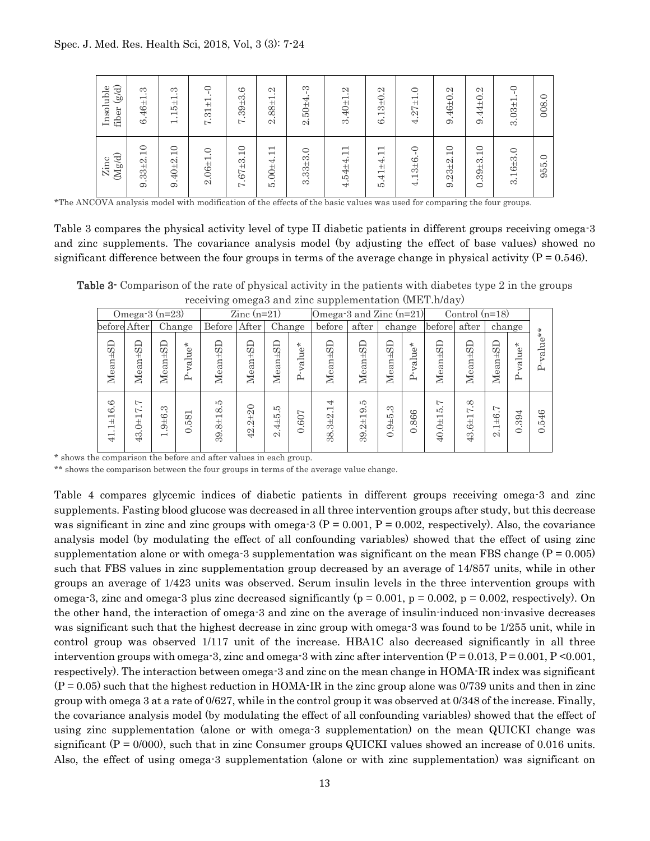| $\binom{8}{9}$<br>Insoluble<br>fiber | S<br>$\bullet$<br>$6.46 + 1$                 | S<br>$\bullet$<br>$5\pm1$<br>H<br>$\overline{\phantom{0}}$ | ⊂<br>$\bullet$<br>$\overline{+}$<br>$\overline{\phantom{0}}$<br>က္<br>$\sim$ | ల<br>$.39 + 3.0$<br>$\overline{ }$           | N<br>$\bullet$<br>$.88 + 1$<br>2                                    | ကု<br>$.50 \pm 4.$<br>$\mathcal{L}$ | $\mathfrak{a}$<br>$\bullet$<br>$.40 + 1$<br>က               | N<br>$3+0$ .<br>$\overline{\phantom{0}}$<br>$\cdot$<br>అ                                           | $\circ$<br>$\cdot$<br>$4.27 + 1$ | $\mathcal{C}$<br>$9.46 \pm 0.$ | N<br>$\cdot$<br>44±0.<br>$\cdot$<br>G                                               | $\cup$<br>$\bullet$<br>$3.03 + 1$ | 008.0           |
|--------------------------------------|----------------------------------------------|------------------------------------------------------------|------------------------------------------------------------------------------|----------------------------------------------|---------------------------------------------------------------------|-------------------------------------|-------------------------------------------------------------|----------------------------------------------------------------------------------------------------|----------------------------------|--------------------------------|-------------------------------------------------------------------------------------|-----------------------------------|-----------------|
| $(\rm Mg/d)$<br>Zinc                 | ⊂<br>$\overline{\phantom{0}}$<br>$9.33 + 2.$ | $\Box$<br>$9.40 + 2.$                                      | $\circ$<br>$\cdot$<br>$2.06 + 1$                                             | ⊂<br>$\overline{\phantom{0}}$<br>$7.67 + 3.$ | $\overline{\phantom{0}}$<br>$\overline{\phantom{0}}$<br>$5.00 + 4.$ | $3.33 + 3.0$                        | $\overline{\phantom{0}}$<br>$\overline{ }$<br>$4.54 \pm 4.$ | $\overline{\phantom{0}}$<br>$\overline{\phantom{0}}$<br>$\pm 4$<br>$\overline{41}$<br>$\cdot$<br>ю | $\circ$<br>$4.13 \pm 6.$         | 10<br>$9.23 + 2.$              | $\circ$<br>$\overline{\phantom{0}}$<br>$\cdot$<br>$39 + 3.$<br>$\bullet$<br>$\circ$ | $3.16 + 3.0$                      | $\circ$<br>955. |

\*The ANCOVA analysis model with modification of the effects of the basic values was used for comparing the four groups.

Table 3 compares the physical activity level of type II diabetic patients in different groups receiving omega-3 and zinc supplements. The covariance analysis model (by adjusting the effect of base values) showed no significant difference between the four groups in terms of the average change in physical activity ( $P = 0.546$ ).

Table 3- Comparison of the rate of physical activity in the patients with diabetes type 2 in the groups receiving omega3 and zinc supplementation (MET.h/day)

|                                                          |                                                           |                                                                |                                                            | - 0                     | ---- <i>-</i> a---                                            |                                |                                        | -- 1- 1-                                          |                                                   |                           |                      |                                                                                                                    |                                                                              |                                                                     |                                   |                        |
|----------------------------------------------------------|-----------------------------------------------------------|----------------------------------------------------------------|------------------------------------------------------------|-------------------------|---------------------------------------------------------------|--------------------------------|----------------------------------------|---------------------------------------------------|---------------------------------------------------|---------------------------|----------------------|--------------------------------------------------------------------------------------------------------------------|------------------------------------------------------------------------------|---------------------------------------------------------------------|-----------------------------------|------------------------|
|                                                          | Omega-3 $(n=23)$                                          |                                                                |                                                            |                         | $\rm Zinc$ (n=21)                                             |                                |                                        | Omega-3 and Zinc (n=21)                           |                                                   |                           |                      |                                                                                                                    | Control $(n=18)$                                                             |                                                                     |                                   |                        |
|                                                          | before After                                              |                                                                | Change                                                     | Before                  | After                                                         | Change                         |                                        | before                                            | after                                             | change                    |                      | before                                                                                                             | after                                                                        | change                                                              |                                   | $\ast$                 |
| ≏<br>Mean±S                                              | ≏<br>$an \pm S$<br>Мe                                     | ≏<br>OΩ<br>Ή<br>$\vec{a}$<br>Мe                                | ÷.<br>alue <sup>;</sup><br>≏                               | Mean±SD                 | SD <sub>1</sub><br>Mean±                                      | <b>G</b><br>Mean±              | $\star$<br>alue <sup>-</sup><br>⊳<br>≏ | GD<br>Mean±                                       | <b>G</b><br>Mean±                                 | SD <sub>1</sub><br>Mean±  | ÷.<br>alue<br>⋝<br>≏ | GD<br>Mean±                                                                                                        | GD<br>Ë<br>Meai                                                              | 50<br>Mean±                                                         | ÷.<br>alue <sup>-</sup><br>⊳<br>≏ | alue <sup>-</sup><br>≏ |
| అ<br>ల<br>류<br>$\overline{\phantom{0}}$<br>$\overline{}$ | ⊢<br>⊢<br>$\overline{\phantom{0}}$<br>Ë<br>$\mathfrak{B}$ | ಣ<br>$\frac{6}{1}$<br>ග<br>$\cdot$<br>$\overline{\phantom{0}}$ | $\overline{\phantom{0}}$<br>$\infty$<br>ЕÓ<br>$\cdot$<br>Õ | ıО<br>$8 + 18$ .<br>39. | $\circ$<br>$\bar{\mathfrak{g}}$<br>Ή<br>ς1<br>$\overline{42}$ | ю<br>$4\pm5$<br>$\bullet$<br>2 | $\overline{a}$<br>Ò<br>ತ<br>$\circ$    | ₹<br>$\overline{\phantom{0}}$<br>$3 + 2$ .<br>38. | ıО<br>$\bullet$<br>ာ<br>$2\pm1$<br>$\cdot$<br>39. | က<br>$.9 + 5.$<br>$\circ$ | 866<br>$\circ$       | $\overline{ }$<br>ю<br>$\overline{\phantom{0}}$<br>$\begin{array}{c}\n\downarrow \\ \downarrow\n\end{array}$<br>Q, | $\infty$<br>⊢<br>$\overline{\phantom{0}}$<br>$\ddot{5}$<br>. .<br>$\ddot{3}$ | N<br>$\frac{6}{1}$<br>$\overline{\phantom{0}}$<br>$\mathbf{\Omega}$ | 4<br>Ġ<br>ಣ<br>$\circ$            | .546<br>$\circ$        |

\* shows the comparison the before and after values in each group.

\*\* shows the comparison between the four groups in terms of the average value change.

Table 4 compares glycemic indices of diabetic patients in different groups receiving omega-3 and zinc supplements. Fasting blood glucose was decreased in all three intervention groups after study, but this decrease was significant in zinc and zinc groups with omega-3 ( $P = 0.001$ ,  $P = 0.002$ , respectively). Also, the covariance analysis model (by modulating the effect of all confounding variables) showed that the effect of using zinc supplementation alone or with omega-3 supplementation was significant on the mean FBS change  $(P = 0.005)$ such that FBS values in zinc supplementation group decreased by an average of 14/857 units, while in other groups an average of 1/423 units was observed. Serum insulin levels in the three intervention groups with omega-3, zinc and omega-3 plus zinc decreased significantly ( $p = 0.001$ ,  $p = 0.002$ ,  $p = 0.002$ , respectively). On the other hand, the interaction of omega-3 and zinc on the average of insulin-induced non-invasive decreases was significant such that the highest decrease in zinc group with omega-3 was found to be 1/255 unit, while in control group was observed 1/117 unit of the increase. HBA1C also decreased significantly in all three intervention groups with omega-3, zinc and omega-3 with zinc after intervention  $(P = 0.013, P = 0.001, P \le 0.001,$ respectively). The interaction between omega-3 and zinc on the mean change in HOMA-IR index was significant  $(P = 0.05)$  such that the highest reduction in HOMA-IR in the zinc group alone was 0/739 units and then in zinc group with omega 3 at a rate of 0/627, while in the control group it was observed at 0/348 of the increase. Finally, the covariance analysis model (by modulating the effect of all confounding variables) showed that the effect of using zinc supplementation (alone or with omega-3 supplementation) on the mean QUICKI change was significant  $(P = 0/000)$ , such that in zinc Consumer groups QUICKI values showed an increase of 0.016 units. Also, the effect of using omega-3 supplementation (alone or with zinc supplementation) was significant on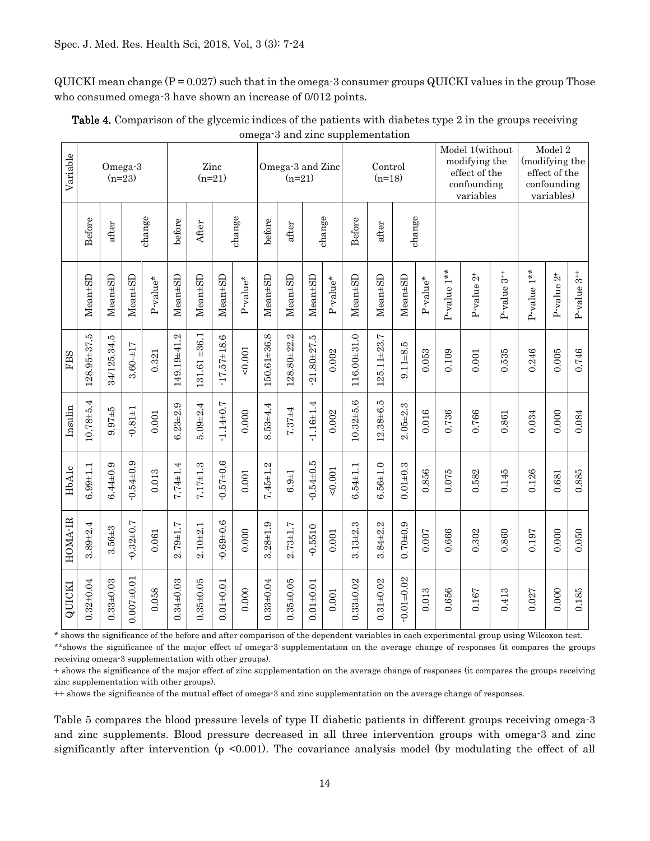$\text{QUICKI}$  mean change (P = 0.027) such that in the omega-3 consumer groups QUICKI values in the group Those who consumed omega-3 have shown an increase of  $0/012$  points.

| Variable |                 |                | Omega-3<br>$(n=23)$ |            |               |                 | Zinc<br>$(n=21)$  |             |               | Omega-3 and Zinc<br>$(n=21)$ |                 |            |                | Control<br>$(n=18)$ |                  |            |               | Model 1(without<br>modifying the<br>effect of the<br>confounding<br>variables |                           | (modifying the | Model 2<br>effect of the<br>confounding<br>variables) |                           |
|----------|-----------------|----------------|---------------------|------------|---------------|-----------------|-------------------|-------------|---------------|------------------------------|-----------------|------------|----------------|---------------------|------------------|------------|---------------|-------------------------------------------------------------------------------|---------------------------|----------------|-------------------------------------------------------|---------------------------|
|          | Before          | after          |                     | change     | before        | After           |                   | change      | before        | after                        |                 | change     | Before         | after               |                  | change     |               |                                                                               |                           |                |                                                       |                           |
|          | $Mean \pm SD$   | $Mean \pm SD$  | $Mean \pm SD$       | $P-value*$ | Mean#SD       | $Mean \pm SD$   | $Mean \pm SD$     | $P-value^*$ | $Mean \pm SD$ | $Mean \pm SD$                | Mean#SD         | $P-value*$ | $Mean \pm SD$  | $Mean \pm SD$       | $Mean \pm SD$    | $P-value*$ | $P-value 1**$ | $P$ -value $2^+$                                                              | $P-value$ 3 <sup>++</sup> | $P-value 1**$  | $P-value 2+$                                          | $P-value$ 3 <sup>++</sup> |
| FBS      | 128.95±37.5     | 34/125.34.5    | $3.60 - 17$         | 0.321      | 149.19±41.2   | $131.61 + 36.1$ | $-17.57 \pm 18.6$ | 0.001       | 150.61±36.8   | 128.80±22.2                  | $-21.80 + 27.5$ | 0.002      | 116.00±31.0    | 125.11±23.7         | $9.11 + 8.5$     | 0.053      | 0.109         | 0.001                                                                         | 0.535                     | 0.246          | 0.005                                                 | 0.746                     |
| Insulin  | $10.78 + 5.4$   | $9.97 + 5$     | $-0.81 \pm 1$       | $0.001\,$  | $6.23 + 2.9$  | $5.09 + 2.4$    | $-1.14 \pm 0.7$   | 0.000       | $8.53 + 4.4$  | 7.37±4                       | $1.16 \pm 1.4$  | 0.002      | $10.32 + 5.6$  | 12.38±6.5           | $2.05 + 2.3$     | 0.016      | 0.736         | 0.766                                                                         | 0.861                     | 0.034          | 0.000                                                 | 0.084                     |
| HbAlc    | $6.99 + 1.1$    | $6.44 \pm 0.9$ | $-0.54 \pm 0.9$     | 0.013      | 7.74±1.4      | $7.17 + 1.3$    | $-0.57 \pm 0.6$   | $0.001\,$   | $7.45 + 1.2$  | $6.9 + 1$                    | $0.54 \pm 0.5$  | 0.001      | $6.54 \pm 1.1$ | $6.56 \pm 1.0$      | $0.01 + 0.3$     | 0.856      | 0.075         | 0.582                                                                         | 0.145                     | 0.126          | 0.681                                                 | 0.885                     |
| HOMA-IR  | $3.89 + 2.4$    | $3.56 \pm 3$   | $-0.32 + 0.7$       | 0.061      | $2.79 + 1.7$  | $2.10 + 2.1$    | $-0.69 + 0.6$     | 0.000       | $3.28 + 1.9$  | $2.73 \pm 1.7$               | $-0.5510$       | 0.001      | $3.13 + 2.3$   | $3.84 + 2.2$        | $0.70 + 0.9$     | 0.007      | 0.666         | 0.302                                                                         | 0.860                     | 0.197          | 0.000                                                 | 0.050                     |
| QUICKI   | $0.32 \pm 0.04$ | $0.33 + 0.03$  | $0.007 + 0.01$      | 0.058      | $0.34 + 0.03$ | $0.35 \pm 0.05$ | $0.01 \pm 0.01$   | 0.000       | $0.33 + 0.04$ | $0.35 \pm 0.05$              | $0.01\pm0.01$   | 0.001      | $0.33 + 0.02$  | $0.31\pm0.02$       | $-0.01 \pm 0.02$ | 0.013      | 0.656         | 0.167                                                                         | 0.413                     | 0.027          | 0.000                                                 | 0.185                     |

| <b>Table 4.</b> Comparison of the glycemic indices of the patients with diabetes type 2 in the groups receiving |
|-----------------------------------------------------------------------------------------------------------------|
| omega-3 and zinc supplementation                                                                                |

\* shows the significance of the before and after comparison of the dependent variables in each experimental group using Wilcoxon test. \*\*shows the significance of the major effect of omega-3 supplementation on the average change of responses (it compares the groups receiving omega-3 supplementation with other groups).

+ shows the significance of the major effect of zinc supplementation on the average change of responses (it compares the groups receiving zinc supplementation with other groups).

++ shows the significance of the mutual effect of omega-3 and zinc supplementation on the average change of responses.

Table 5 compares the blood pressure levels of type II diabetic patients in different groups receiving omega-3 and zinc supplements. Blood pressure decreased in all three intervention groups with omega-3 and zinc significantly after intervention  $(p \le 0.001)$ . The covariance analysis model (by modulating the effect of all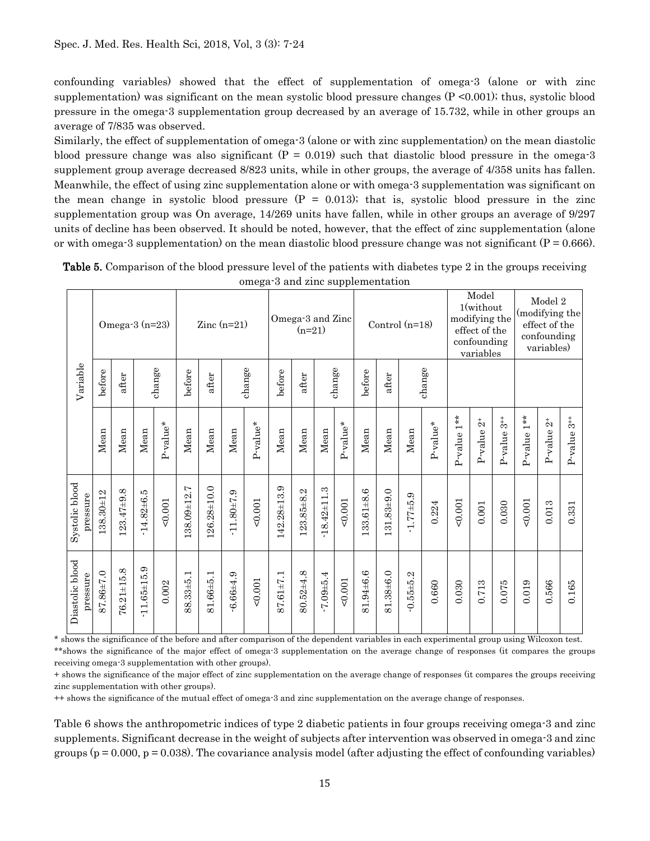confounding variables) showed that the effect of supplementation of omega-3 (alone or with zinc supplementation) was significant on the mean systolic blood pressure changes  $(P \le 0.001)$ ; thus, systolic blood pressure in the omega-3 supplementation group decreased by an average of 15.732, while in other groups an average of 7/835 was observed.

Similarly, the effect of supplementation of omega-3 (alone or with zinc supplementation) on the mean diastolic blood pressure change was also significant  $(P = 0.019)$  such that diastolic blood pressure in the omega-3 supplement group average decreased 8/823 units, while in other groups, the average of 4/358 units has fallen. Meanwhile, the effect of using zinc supplementation alone or with omega-3 supplementation was significant on the mean change in systolic blood pressure  $(P = 0.013)$ ; that is, systolic blood pressure in the zinc supplementation group was On average, 14/269 units have fallen, while in other groups an average of 9/297 units of decline has been observed. It should be noted, however, that the effect of zinc supplementation (alone or with omega-3 supplementation) on the mean diastolic blood pressure change was not significant ( $P = 0.666$ ).

|                             |           | Omega-3 $(n=23)$ |                 |             |             |             | Zinc $(n=21)$  |          |             | Omega-3 and Zinc<br>$(n=21)$ |                   |             |            |            | Control $(n=18)$ |             |                  | Model<br>1(without<br>modifying the<br>effect of the<br>confounding<br>variables |                             |             | Model 2<br>(modifying the<br>effect of the<br>confounding<br>variables) |                          |
|-----------------------------|-----------|------------------|-----------------|-------------|-------------|-------------|----------------|----------|-------------|------------------------------|-------------------|-------------|------------|------------|------------------|-------------|------------------|----------------------------------------------------------------------------------|-----------------------------|-------------|-------------------------------------------------------------------------|--------------------------|
| Variable                    | before    | after            |                 | change      | before      | after       |                | change   | before      | after                        |                   | change      | before     | after      |                  | change      |                  |                                                                                  |                             |             |                                                                         |                          |
|                             | Mean      | Mean             | Mean            | $P$ -value* | Mean        | Mean        | Mean           | P-value* | Mean        | Mean                         | Mean              | $P$ -value* | Mean       | Mean       | Mean             | $P-value^*$ | $1**$<br>P-value | $P$ -value $2^+$                                                                 | $\overline{3}^+$<br>P-value | P-value 1** | P-value $2^+$                                                           | $\frac{1}{3}$<br>P-value |
| Systolic blood<br>pressure  | 138.30±12 | $123.47 + 9.8$   | $14.82 + 6.5$   | 0.001       | 138.09±12.7 | 126.28±10.0 | $-11.80 + 7.9$ | 0.001    | 142.28±13.9 | $123.85 + 8.2$               | $-18.42 \pm 11.3$ | 0.001       | 133.61±8.6 | 131.83±9.0 | $1.77 + 5.9$     | 0.224       | 0.001            | $0.001\,$                                                                        | 0.030                       | 0.001       | 0.013                                                                   | 0.331                    |
| Diastolic blood<br>pressure | 87.86±7.0 | $76.21 \pm 15.8$ | $-11.65 + 15.9$ | 0.002       | 88.33±5.1   | 81.66±5.1   | $-6.66 + 4.9$  | 0.001    | 87.61±7.1   | 80.52±4.8                    | $-7.09 + 5.4$     | 0.001       | 81.94±6.6  | 81.38±6.0  | $0.55 + 5.2$     | 0.660       | 0.030            | 0.713                                                                            | 0.075                       | 0.019       | 0.566                                                                   | 0.165                    |

Table 5. Comparison of the blood pressure level of the patients with diabetes type 2 in the groups receiving omega-3 and zinc supplementation

\* shows the significance of the before and after comparison of the dependent variables in each experimental group using Wilcoxon test. \*\*shows the significance of the major effect of omega-3 supplementation on the average change of responses (it compares the groups receiving omega-3 supplementation with other groups).

+ shows the significance of the major effect of zinc supplementation on the average change of responses (it compares the groups receiving zinc supplementation with other groups).

++ shows the significance of the mutual effect of omega-3 and zinc supplementation on the average change of responses.

Table 6 shows the anthropometric indices of type 2 diabetic patients in four groups receiving omega-3 and zinc supplements. Significant decrease in the weight of subjects after intervention was observed in omega-3 and zinc groups  $(p = 0.000, p = 0.038)$ . The covariance analysis model (after adjusting the effect of confounding variables)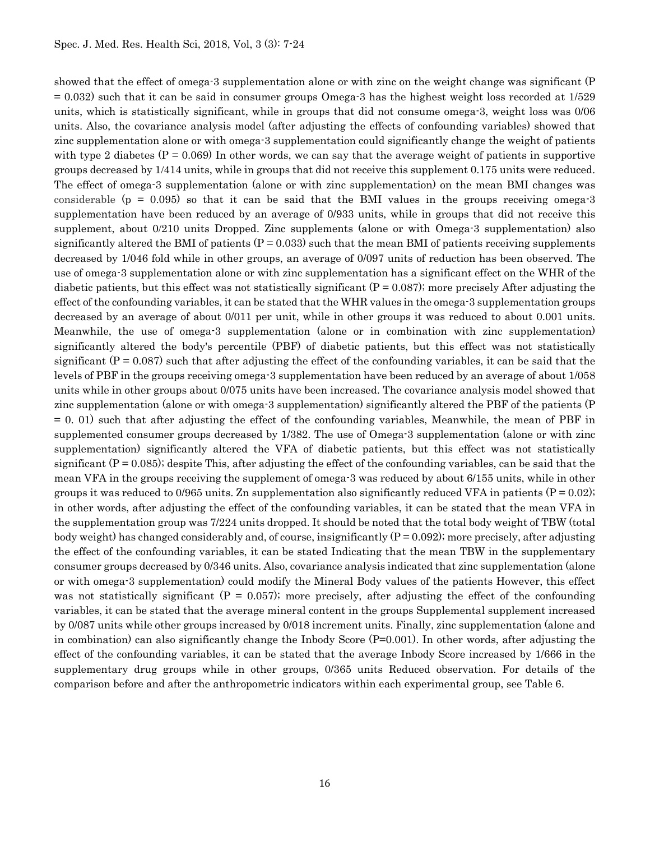showed that the effect of omega-3 supplementation alone or with zinc on the weight change was significant (P = 0.032) such that it can be said in consumer groups Omega-3 has the highest weight loss recorded at 1/529 units, which is statistically significant, while in groups that did not consume omega-3, weight loss was 0/06 units. Also, the covariance analysis model (after adjusting the effects of confounding variables) showed that zinc supplementation alone or with omega-3 supplementation could significantly change the weight of patients with type 2 diabetes  $(P = 0.069)$  In other words, we can say that the average weight of patients in supportive groups decreased by 1/414 units, while in groups that did not receive this supplement 0.175 units were reduced. The effect of omega-3 supplementation (alone or with zinc supplementation) on the mean BMI changes was considerable ( $p = 0.095$ ) so that it can be said that the BMI values in the groups receiving omega-3 supplementation have been reduced by an average of 0/933 units, while in groups that did not receive this supplement, about 0/210 units Dropped. Zinc supplements (alone or with Omega-3 supplementation) also significantly altered the BMI of patients  $(P = 0.033)$  such that the mean BMI of patients receiving supplements decreased by 1/046 fold while in other groups, an average of 0/097 units of reduction has been observed. The use of omega-3 supplementation alone or with zinc supplementation has a significant effect on the WHR of the diabetic patients, but this effect was not statistically significant  $(P = 0.087)$ ; more precisely After adjusting the effect of the confounding variables, it can be stated that the WHR values in the omega-3 supplementation groups decreased by an average of about 0/011 per unit, while in other groups it was reduced to about 0.001 units. Meanwhile, the use of omega-3 supplementation (alone or in combination with zinc supplementation) significantly altered the body's percentile (PBF) of diabetic patients, but this effect was not statistically significant  $(P = 0.087)$  such that after adjusting the effect of the confounding variables, it can be said that the levels of PBF in the groups receiving omega-3 supplementation have been reduced by an average of about 1/058 units while in other groups about 0/075 units have been increased. The covariance analysis model showed that zinc supplementation (alone or with omega-3 supplementation) significantly altered the PBF of the patients (P = 0. 01) such that after adjusting the effect of the confounding variables, Meanwhile, the mean of PBF in supplemented consumer groups decreased by 1/382. The use of Omega-3 supplementation (alone or with zinc supplementation) significantly altered the VFA of diabetic patients, but this effect was not statistically significant  $(P = 0.085)$ ; despite This, after adjusting the effect of the confounding variables, can be said that the mean VFA in the groups receiving the supplement of omega-3 was reduced by about 6/155 units, while in other groups it was reduced to 0/965 units. Zn supplementation also significantly reduced VFA in patients  $(P = 0.02)$ ; in other words, after adjusting the effect of the confounding variables, it can be stated that the mean VFA in the supplementation group was 7/224 units dropped. It should be noted that the total body weight of TBW (total body weight) has changed considerably and, of course, insignificantly  $(P = 0.092)$ ; more precisely, after adjusting the effect of the confounding variables, it can be stated Indicating that the mean TBW in the supplementary consumer groups decreased by 0/346 units. Also, covariance analysis indicated that zinc supplementation (alone or with omega-3 supplementation) could modify the Mineral Body values of the patients However, this effect was not statistically significant  $(P = 0.057)$ ; more precisely, after adjusting the effect of the confounding variables, it can be stated that the average mineral content in the groups Supplemental supplement increased by 0/087 units while other groups increased by 0/018 increment units. Finally, zinc supplementation (alone and in combination) can also significantly change the Inbody Score  $(P=0.001)$ . In other words, after adjusting the effect of the confounding variables, it can be stated that the average Inbody Score increased by 1/666 in the supplementary drug groups while in other groups, 0/365 units Reduced observation. For details of the comparison before and after the anthropometric indicators within each experimental group, see Table 6.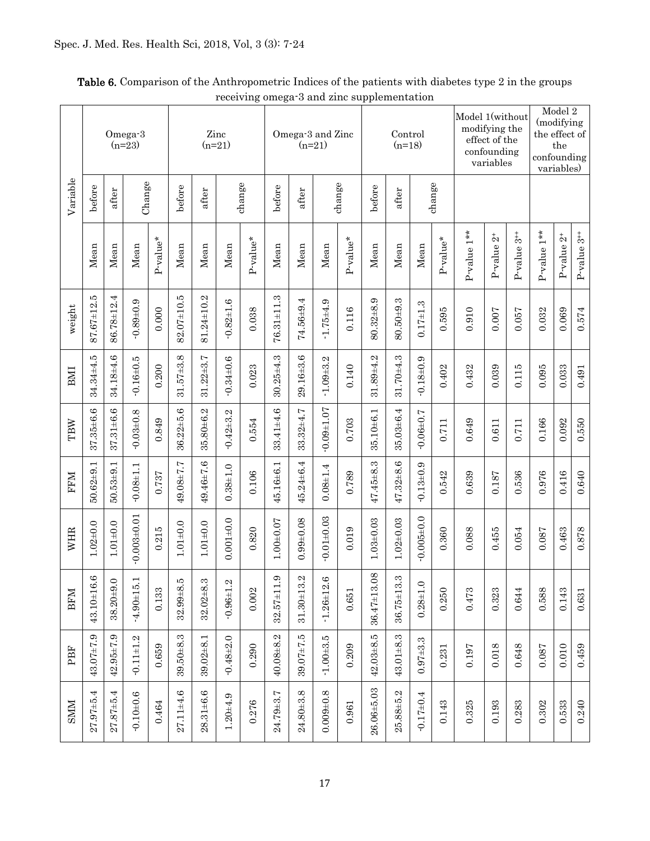|             |                  |                 | Omega-3<br>$(n=23)$ |          |                 |                 | Zinc<br>$(n=21)$ |          |                  | Omega-3 and Zinc<br>$(n=21)$ |                  |          |                                | Control<br>$(n=18)$ |                   |            | Model 1(without | modifying the<br>effect of the<br>confounding<br>variables |                           | (modifying<br>the effect of<br>confounding | Model 2<br>the<br>variables) |                  |
|-------------|------------------|-----------------|---------------------|----------|-----------------|-----------------|------------------|----------|------------------|------------------------------|------------------|----------|--------------------------------|---------------------|-------------------|------------|-----------------|------------------------------------------------------------|---------------------------|--------------------------------------------|------------------------------|------------------|
| Variable    | before           | after           | Change              |          | before          | after           |                  | change   | before           | after                        |                  | change   | before                         | after               |                   | change     |                 |                                                            |                           |                                            |                              |                  |
|             | Mean             | Mean            | Mean                | P-value* | Mean            | Mean            | Mean             | P-value* | Mean             | Mean                         | Mean             | P-value* | Mean                           | Mean                | Mean              | $P-value*$ | $P-value 1**$   | $P-value 2+$                                               | $P-value$ 3 <sup>++</sup> | P-value 1**                                | $P$ -value $2^+$             | P-value $3^{++}$ |
| weight      | $87.67 \pm 12.5$ | 86.78±12.4      | $-0.89 + 0.9$       | 0.000    | 82.07±10.5      | 81.24±10.2      | $-0.82 + 1.6$    | 0.038    | $76.31 \pm 11.3$ | 74.56±9.4                    | $-1.75 + 4.9$    | 0.116    | $80.32 + 8.9$                  | 80.50±9.3           | $0.17 = 1.3$      | 0.595      | 0.910           | 0.007                                                      | 0.057                     | 0.032                                      | 0.069                        | 0.574            |
| <b>IMI</b>  | $34.34 \pm 4.5$  | 34.18±4.6       | $-0.16 + 0.5$       | 0.200    | $31.57 \pm 3.8$ | $31.22 \pm 3.7$ | $-0.34 \pm 0.6$  | 0.023    | $30.25 + 4.3$    | $29.16 + 3.6$                | $-1.09 + 3.2$    | 0.140    | 31.89±4.2                      | 31.70±4.3           | $-0.18 + 0.9$     | 0.402      | 0.432           | 0.039                                                      | 0.115                     | 0.095                                      | 0.033                        | 0.491            |
| TBW         | $37.35 + 6.6$    | $37.31 \pm 6.6$ | $-0.03 \pm 0.8$     | 0.849    | $36.22 + 5.6$   | $35.80 + 6.2$   | $-0.42 \pm 3.2$  | 0.554    | $33.41 \pm 4.6$  | $33.32 + 4.7$                | $-0.09 + 1.07$   | 0.703    | 35.10±6.1                      | 35.03±6.4           | $7.0 + 0.0 + 0.7$ | $0.711$    | 0.649           | 0.611                                                      | $0.711\,$                 | 0.166                                      | 0.092                        | 0.550            |
| <b>NHA</b>  | $50.62 \pm 9.1$  | 50.53±9.1       | $-0.08 + 1.1$       | 0.737    | 49.08±7.7       | 49.46±7.6       | $0.38 + 1.0$     | 0.106    | 45.16±6.1        | 45.24±6.4                    | $0.08 + 1.4$     | 0.789    | $47.45 \pm 8.3$                | $47.32 \pm 8.6$     | $0.13 \pm 0.9$    | 0.542      | 0.639           | 0.187                                                      | 0.536                     | 0.976                                      | 0.416                        | 0.640            |
| WHR         | $1.02 + 0.0$     | $1.01 \pm 0.0$  | $-0.003 \pm 0.01$   | 0.215    | $1.01 \pm 0.0$  | $1.01 \pm 0.0$  | $0.001 + 0.0$    | 0.820    | $1.00 + 0.07$    | $0.99 + 0.08$                | $-0.01 \pm 0.03$ | 0.019    | $1.03 + 0.03$                  | $1.02 \pm 0.03$     | $0.005 + 0.0$     | 0.360      | 0.088           | 0.455                                                      | 0.054                     | 0.087                                      | 0.463                        | 0.878            |
| <b>BFM</b>  | CO<br>43.10±16.  | $38.20 + 9.0$   | $-4.90 \pm 15.1$    | 0.133    | $32.99 + 8.5$   | $32.02\pm8.3$   | $-0.96 + 1.2$    | 0.002    | $32.57 \pm 11.9$ | $31.30 \pm 13.2$             | $-1.26 \pm 12.6$ | 0.651    | $^{\circ}$<br>$36.47 \pm 13.0$ | 36.75±13.3          | $0.28 + 1.0$      | 0.250      | 0.473           | 0.323                                                      | 0.644                     | 0.588                                      | 0.143                        | 0.631            |
| PBF         | 43.07±7.9        | $42.95 \pm 7.9$ | $-0.11 \pm 1.2$     | 0.659    | 39.50±8.3       | $39.02 \pm 8.1$ | $-0.48 + 2.0$    | 0.290    | 40.08±8.2        | $39.07 + 7.5$                | $-1.00 + 3.5$    | 0.209    | $42.03\pm8.5$                  | $43.01\pm8.3$       | $0.97 + 3.3$      | 0.231      | 0.197           | 0.018                                                      | 0.648                     | 0.087                                      | 0.010                        | 0.459            |
| <b>NINS</b> | $27.97 + 5.4$    | $27.87 + 5.4$   | $-0.10 + 0.6$       | 0.464    | $27.11 \pm 4.6$ | $28.31 \pm 6.6$ | $1.20 + 4.9$     | 0.276    | 24.79±3.7        | $24.80 + 3.8$                | $0.009 + 0.8$    | 0.961    | $26.06 + 5.03$                 | $25.88 + 5.2$       | $-0.17 \pm 0.4$   | 0.143      | 0.325           | 0.193                                                      | 0.283                     | 0.302                                      | 0.533                        | 0.240            |

| <b>Table 6.</b> Comparison of the Anthropometric Indices of the patients with diabetes type 2 in the groups |
|-------------------------------------------------------------------------------------------------------------|
| receiving omega-3 and zinc supplementation                                                                  |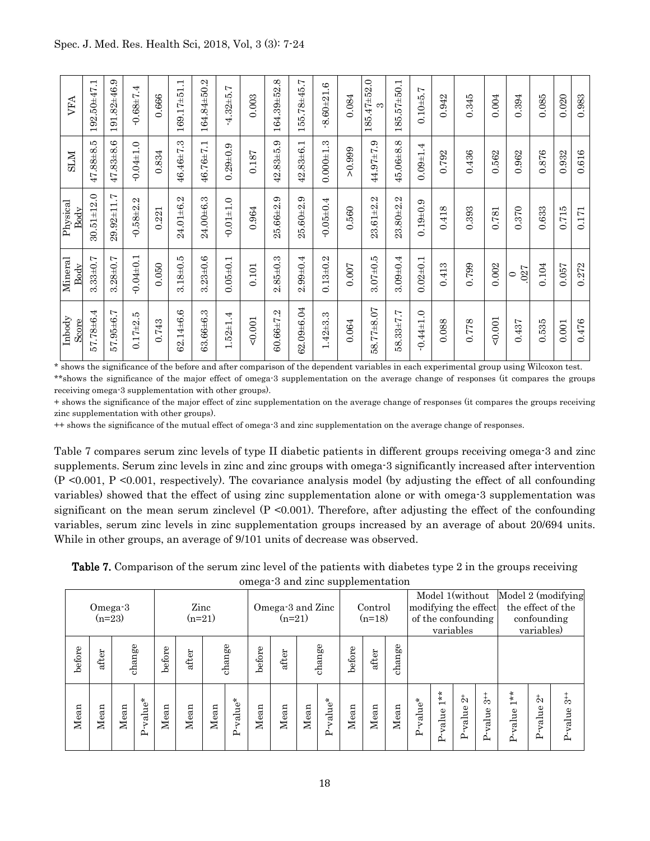| Inbody<br>Score | $\overline{\mathbf{M}}$ ineral<br>Body | Physical<br>Body | <b>NTIS</b>     | VFA              |
|-----------------|----------------------------------------|------------------|-----------------|------------------|
| 57.78±6.4       | $3.33 \pm 0.7$                         | $30.51 \pm 12.0$ | 47.88±8.5       | 192.50±47.1      |
| 57.95±6.7       | $3.28 + 0.7$                           | $29.92 \pm 11.7$ | $47.83 + 8.6$   | 191.82±46.9      |
| $0.17 + 2.5$    | $-0.04 \pm 0.1$                        | $-0.58 + 2.2$    | $-0.04 \pm 1.0$ | $-0.68 + 7.4$    |
| 0.743           | 0.050                                  | 0.221            | 0.834           | 0.666            |
| 62.14±6.6       | $3.18 + 0.5$                           | 24.01±6.2        | 46.46±7.3       | 169.17±51.1      |
| 63.66±6.3       | $3.23 \pm 0.6$                         | 24.00±6.3        | 46.76±7.1       | 164.84±50.2      |
| $1.52 \pm 1.4$  | $0.05 \pm 0.1$                         | $-0.01 + 1.0$    | $0.29 + 0.9$    | $-4.32 + 5.7$    |
| 0.001           | 0.101                                  | 0.964            | 0.187           | 0.003            |
| $60.66 \pm 7.2$ | $2.85 \pm 0.3$                         | 25.66±2.9        | $42.83 + 5.9$   | 164.39±52.8      |
| 62.09±6.04      | $2.99 + 0.4$                           | $25.60 + 2.9$    | 42.83±6.1       | 155.78±45.7      |
| $1.42 \pm 3.3$  | $0.13 \pm 0.2$                         | $-0.05\pm0.4$    | $0.000 + 1.3$   | $8.60 + 21.6$    |
| 0.064           | 0.007                                  | 0.560            | > 0.999         | 0.084            |
| 58.77±8.07      | $3.07 + 0.5$                           | $23.61 \pm 2.2$  | 44.97±7.9       | 185.47±52.0<br>က |
| 58.33±7.7       | $3.09 \pm 0.4$                         | 23.80±2.2        | 45.06±8.8       | 185.57±50.1      |
| $-0.44 \pm 1.0$ | $0.02 \pm 0.1$                         | $0.19 + 0.9$     | $0.09 + 1.4$    | $0.10 + 5.7$     |
| 0.088           | 0.413                                  | 0.418            | 0.792           | 0.942            |
| 0.778           | 0.799                                  | 0.393            | 0.436           | 0.345            |
| 0.001           | 0.002                                  | 0.781            | 0.562           | $0.004$          |
| 0.437           | 027<br>$\circ$                         | 0.370            | 0.962           | 0.394            |
| 0.535           | 0.104                                  | 0.633            | 0.876           | 0.085            |
| 0.001           | 0.057                                  | 0.715            | 0.932           | 0.020            |
| 0.476           | 0.272                                  | 0.171            | 0.616           | 0.983            |

\* shows the significance of the before and after comparison of the dependent variables in each experimental group using Wilcoxon test. \*\*shows the significance of the major effect of omega-3 supplementation on the average change of responses (it compares the groups receiving omega-3 supplementation with other groups).

+ shows the significance of the major effect of zinc supplementation on the average change of responses (it compares the groups receiving zinc supplementation with other groups).

++ shows the significance of the mutual effect of omega-3 and zinc supplementation on the average change of responses.

Table 7 compares serum zinc levels of type II diabetic patients in different groups receiving omega-3 and zinc supplements. Serum zinc levels in zinc and zinc groups with omega-3 significantly increased after intervention  $(P \le 0.001, P \le 0.001,$  respectively). The covariance analysis model (by adjusting the effect of all confounding variables) showed that the effect of using zinc supplementation alone or with omega-3 supplementation was significant on the mean serum zinclevel  $(P \le 0.001)$ . Therefore, after adjusting the effect of the confounding variables, serum zinc levels in zinc supplementation groups increased by an average of about 20/694 units. While in other groups, an average of 9/101 units of decrease was observed.

Table 7. Comparison of the serum zinc level of the patients with diabetes type 2 in the groups receiving omega-3 and zinc supplementation

| Omega-3<br>$(n=23)$ |       |        |             | Zinc<br>$(n=21)$ |                 |      |             | Omega-3 and Zinc<br>$(n=21)$ |      |        |             | Control<br>$(n=18)$ |        |      | Model 1(without<br>modifying the effect<br>of the confounding<br>variables |                      |                                     |                                 | Model 2 (modifying<br>the effect of the<br>confounding<br>variables) |                                     |                              |
|---------------------|-------|--------|-------------|------------------|-----------------|------|-------------|------------------------------|------|--------|-------------|---------------------|--------|------|----------------------------------------------------------------------------|----------------------|-------------------------------------|---------------------------------|----------------------------------------------------------------------|-------------------------------------|------------------------------|
| before              | after | change |             | before           | change<br>after |      | before      | after                        |      | change | before      | after               | change |      |                                                                            |                      |                                     |                                 |                                                                      |                                     |                              |
| Mean                | Mean  | Mean   | value*<br>Α | Mean             | Mean            | Mean | value*<br>≏ | Mean                         | Mean | Mean   | value*<br>ά | Mean                | Mean   | Mean | value*                                                                     | $1**$<br>value<br>ட் | $\stackrel{+}{\sim}$<br>value<br>ட் | $\frac{4}{3}$<br>alue<br>⊳<br>≏ | $1 *$<br>P-value                                                     | $\stackrel{+}{\sim}$<br>value<br>ட் | $\frac{1}{3}$<br>value<br>ட் |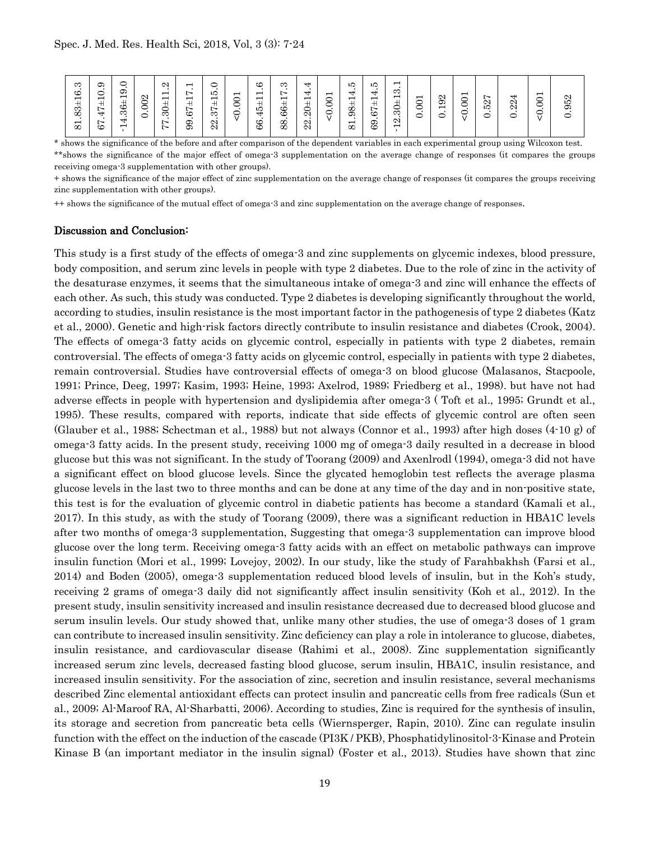| ಣ<br>ల<br>$\overline{\phantom{0}}$<br>$83 +$<br>$\overline{8}$ | ග<br>᠆<br>ー<br>-<br>+<br>∼<br>$\overline{\phantom{0}}$<br>∼<br>ల | တ<br>−<br>ٮ<br>က<br>↽<br>− | N<br>ー<br>$\bullet$<br>∽<br>ٮ | $\mathbf{\Omega}$<br>−<br>ᅳ<br>ന<br>$\sim$<br>$\sim$ | −<br>$\sim$<br>−<br>$+$<br>$\sim$<br>ల<br>ග<br>ග | ıО<br>−<br>. .<br>∼<br>ന<br>$\mathbf{\Omega}$<br>$\mathbf{\Omega}$ | −<br>◡<br>ب | ల<br>−<br>−<br>$\blacksquare$<br>芯<br>⇥<br>8 | ౧<br>⊢<br>$\overline{\phantom{0}}$<br>ల<br>Õ<br>$\infty$<br>œ | ↽<br>↽<br>─<br>ー<br>N<br>N<br>N | −<br>⌒<br>᠆<br>ē | ıО<br>↽<br>−<br>œ<br>ග<br>−<br>$^{\circ}$ | LC.<br>$\rightarrow$<br>−<br>+<br>$\overline{\phantom{0}}$<br>cc<br>ာ<br>Œ | $\blacksquare$<br>S<br>$\overline{\phantom{0}}$<br>پ<br>ನಾ<br>$\bullet$<br>N<br>$\overline{\phantom{0}}$ | −<br>◡<br>⊂<br>᠆<br>$\overline{\phantom{0}}$ | $\mathfrak{D}$<br>−<br>⊂ | −<br>᠆<br>◡<br>Č<br>᠆<br>ー<br>$\cdot$ | N<br>$\sim$<br>ட் | ⇥<br>$\mathbf{\Omega}$<br>$\infty$<br>⊂ | −<br>∽<br>◡<br>⊂<br>᠆ | N<br>ю<br>တ |
|----------------------------------------------------------------|------------------------------------------------------------------|----------------------------|-------------------------------|------------------------------------------------------|--------------------------------------------------|--------------------------------------------------------------------|-------------|----------------------------------------------|---------------------------------------------------------------|---------------------------------|------------------|-------------------------------------------|----------------------------------------------------------------------------|----------------------------------------------------------------------------------------------------------|----------------------------------------------|--------------------------|---------------------------------------|-------------------|-----------------------------------------|-----------------------|-------------|
|----------------------------------------------------------------|------------------------------------------------------------------|----------------------------|-------------------------------|------------------------------------------------------|--------------------------------------------------|--------------------------------------------------------------------|-------------|----------------------------------------------|---------------------------------------------------------------|---------------------------------|------------------|-------------------------------------------|----------------------------------------------------------------------------|----------------------------------------------------------------------------------------------------------|----------------------------------------------|--------------------------|---------------------------------------|-------------------|-----------------------------------------|-----------------------|-------------|

\* shows the significance of the before and after comparison of the dependent variables in each experimental group using Wilcoxon test. \*\*shows the significance of the major effect of omega-3 supplementation on the average change of responses (it compares the groups receiving omega-3 supplementation with other groups).

+ shows the significance of the major effect of zinc supplementation on the average change of responses (it compares the groups receiving zinc supplementation with other groups).

++ shows the significance of the mutual effect of omega-3 and zinc supplementation on the average change of responses.

#### Discussion and Conclusion:

This study is a first study of the effects of omega-3 and zinc supplements on glycemic indexes, blood pressure, body composition, and serum zinc levels in people with type 2 diabetes. Due to the role of zinc in the activity of the desaturase enzymes, it seems that the simultaneous intake of omega-3 and zinc will enhance the effects of each other. As such, this study was conducted. Type 2 diabetes is developing significantly throughout the world, according to studies, insulin resistance is the most important factor in the pathogenesis of type 2 diabetes (Katz et al., 2000). Genetic and high-risk factors directly contribute to insulin resistance and diabetes (Crook, 2004). The effects of omega-3 fatty acids on glycemic control, especially in patients with type 2 diabetes, remain controversial. The effects of omega-3 fatty acids on glycemic control, especially in patients with type 2 diabetes, remain controversial. Studies have controversial effects of omega-3 on blood glucose (Malasanos, Stacpoole, 1991; Prince, Deeg, 1997; Kasim, 1993; Heine, 1993; Axelrod, 1989; Friedberg et al., 1998). but have not had adverse effects in people with hypertension and dyslipidemia after omega-3 ( Toft et al., 1995; Grundt et al., 1995). These results, compared with reports, indicate that side effects of glycemic control are often seen (Glauber et al., 1988; Schectman et al., 1988) but not always (Connor et al., 1993) after high doses (4-10 g) of omega-3 fatty acids. In the present study, receiving 1000 mg of omega-3 daily resulted in a decrease in blood glucose but this was not significant. In the study of Toorang (2009) and Axenlrodl (1994), omega-3 did not have a significant effect on blood glucose levels. Since the glycated hemoglobin test reflects the average plasma glucose levels in the last two to three months and can be done at any time of the day and in non-positive state, this test is for the evaluation of glycemic control in diabetic patients has become a standard (Kamali et al., 2017). In this study, as with the study of Toorang (2009), there was a significant reduction in HBA1C levels after two months of omega-3 supplementation, Suggesting that omega-3 supplementation can improve blood glucose over the long term. Receiving omega-3 fatty acids with an effect on metabolic pathways can improve insulin function (Mori et al., 1999; Lovejoy, 2002). In our study, like the study of Farahbakhsh (Farsi et al., 2014) and Boden (2005), omega-3 supplementation reduced blood levels of insulin, but in the Koh's study, receiving 2 grams of omega-3 daily did not significantly affect insulin sensitivity (Koh et al., 2012). In the present study, insulin sensitivity increased and insulin resistance decreased due to decreased blood glucose and serum insulin levels. Our study showed that, unlike many other studies, the use of omega-3 doses of 1 gram can contribute to increased insulin sensitivity. Zinc deficiency can play a role in intolerance to glucose, diabetes, insulin resistance, and cardiovascular disease (Rahimi et al., 2008). Zinc supplementation significantly increased serum zinc levels, decreased fasting blood glucose, serum insulin, HBA1C, insulin resistance, and increased insulin sensitivity. For the association of zinc, secretion and insulin resistance, several mechanisms described Zinc elemental antioxidant effects can protect insulin and pancreatic cells from free radicals (Sun et al., 2009; Al-Maroof RA, Al-Sharbatti, 2006). According to studies, Zinc is required for the synthesis of insulin, its storage and secretion from pancreatic beta cells (Wiernsperger, Rapin, 2010). Zinc can regulate insulin function with the effect on the induction of the cascade (PI3K / PKB), Phosphatidylinositol-3-Kinase and Protein Kinase B (an important mediator in the insulin signal) (Foster et al., 2013). Studies have shown that zinc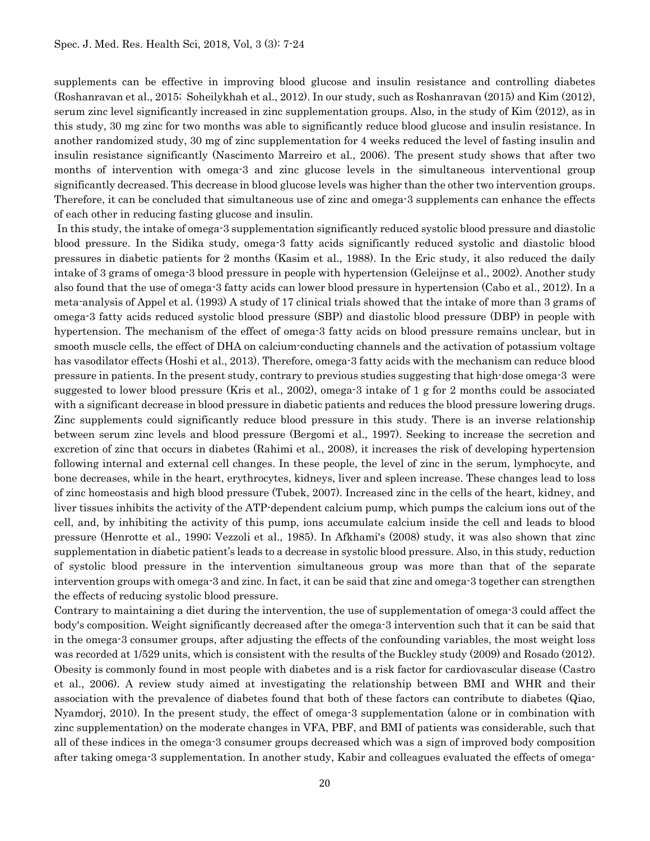supplements can be effective in improving blood glucose and insulin resistance and controlling diabetes (Roshanravan et al., 2015; Soheilykhah et al., 2012). In our study, such as Roshanravan (2015) and Kim (2012), serum zinc level significantly increased in zinc supplementation groups. Also, in the study of Kim (2012), as in this study, 30 mg zinc for two months was able to significantly reduce blood glucose and insulin resistance. In another randomized study, 30 mg of zinc supplementation for 4 weeks reduced the level of fasting insulin and insulin resistance significantly (Nascimento Marreiro et al., 2006). The present study shows that after two months of intervention with omega-3 and zinc glucose levels in the simultaneous interventional group significantly decreased. This decrease in blood glucose levels was higher than the other two intervention groups. Therefore, it can be concluded that simultaneous use of zinc and omega-3 supplements can enhance the effects of each other in reducing fasting glucose and insulin.

In this study, the intake of omega-3 supplementation significantly reduced systolic blood pressure and diastolic blood pressure. In the Sidika study, omega-3 fatty acids significantly reduced systolic and diastolic blood pressures in diabetic patients for 2 months (Kasim et al., 1988). In the Eric study, it also reduced the daily intake of 3 grams of omega-3 blood pressure in people with hypertension (Geleijnse et al., 2002). Another study also found that the use of omega-3 fatty acids can lower blood pressure in hypertension (Cabo et al., 2012). In a meta-analysis of Appel et al. (1993) A study of 17 clinical trials showed that the intake of more than 3 grams of omega-3 fatty acids reduced systolic blood pressure (SBP) and diastolic blood pressure (DBP) in people with hypertension. The mechanism of the effect of omega-3 fatty acids on blood pressure remains unclear, but in smooth muscle cells, the effect of DHA on calcium-conducting channels and the activation of potassium voltage has vasodilator effects (Hoshi et al., 2013). Therefore, omega-3 fatty acids with the mechanism can reduce blood pressure in patients. In the present study, contrary to previous studies suggesting that high-dose omega-3 were suggested to lower blood pressure (Kris et al., 2002), omega-3 intake of 1 g for 2 months could be associated with a significant decrease in blood pressure in diabetic patients and reduces the blood pressure lowering drugs. Zinc supplements could significantly reduce blood pressure in this study. There is an inverse relationship between serum zinc levels and blood pressure (Bergomi et al., 1997). Seeking to increase the secretion and excretion of zinc that occurs in diabetes (Rahimi et al., 2008), it increases the risk of developing hypertension following internal and external cell changes. In these people, the level of zinc in the serum, lymphocyte, and bone decreases, while in the heart, erythrocytes, kidneys, liver and spleen increase. These changes lead to loss of zinc homeostasis and high blood pressure (Tubek, 2007). Increased zinc in the cells of the heart, kidney, and liver tissues inhibits the activity of the ATP-dependent calcium pump, which pumps the calcium ions out of the cell, and, by inhibiting the activity of this pump, ions accumulate calcium inside the cell and leads to blood pressure (Henrotte et al., 1990; Vezzoli et al., 1985). In Afkhami's (2008) study, it was also shown that zinc supplementation in diabetic patient's leads to a decrease in systolic blood pressure. Also, in this study, reduction of systolic blood pressure in the intervention simultaneous group was more than that of the separate intervention groups with omega-3 and zinc. In fact, it can be said that zinc and omega-3 together can strengthen the effects of reducing systolic blood pressure.

Contrary to maintaining a diet during the intervention, the use of supplementation of omega-3 could affect the body's composition. Weight significantly decreased after the omega-3 intervention such that it can be said that in the omega-3 consumer groups, after adjusting the effects of the confounding variables, the most weight loss was recorded at 1/529 units, which is consistent with the results of the Buckley study (2009) and Rosado (2012). Obesity is commonly found in most people with diabetes and is a risk factor for cardiovascular disease (Castro et al., 2006). A review study aimed at investigating the relationship between BMI and WHR and their association with the prevalence of diabetes found that both of these factors can contribute to diabetes (Qiao, Nyamdorj, 2010). In the present study, the effect of omega-3 supplementation (alone or in combination with zinc supplementation) on the moderate changes in VFA, PBF, and BMI of patients was considerable, such that all of these indices in the omega-3 consumer groups decreased which was a sign of improved body composition after taking omega-3 supplementation. In another study, Kabir and colleagues evaluated the effects of omega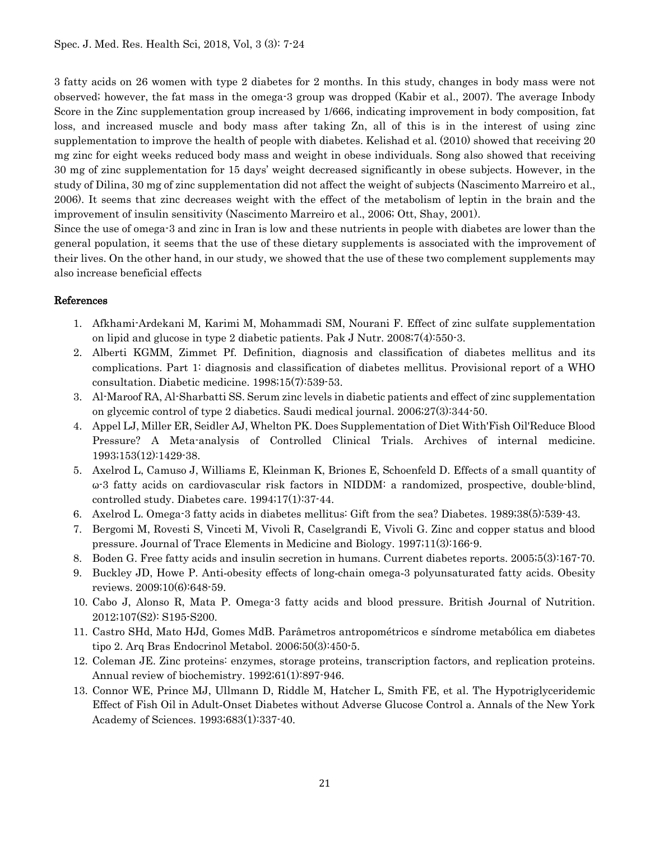3 fatty acids on 26 women with type 2 diabetes for 2 months. In this study, changes in body mass were not observed; however, the fat mass in the omega-3 group was dropped (Kabir et al., 2007). The average Inbody Score in the Zinc supplementation group increased by 1/666, indicating improvement in body composition, fat loss, and increased muscle and body mass after taking Zn, all of this is in the interest of using zinc supplementation to improve the health of people with diabetes. Kelishad et al. (2010) showed that receiving 20 mg zinc for eight weeks reduced body mass and weight in obese individuals. Song also showed that receiving 30 mg of zinc supplementation for 15 days' weight decreased significantly in obese subjects. However, in the study of Dilina, 30 mg of zinc supplementation did not affect the weight of subjects (Nascimento Marreiro et al., 2006). It seems that zinc decreases weight with the effect of the metabolism of leptin in the brain and the improvement of insulin sensitivity (Nascimento Marreiro et al., 2006; Ott, Shay, 2001).

Since the use of omega-3 and zinc in Iran is low and these nutrients in people with diabetes are lower than the general population, it seems that the use of these dietary supplements is associated with the improvement of their lives. On the other hand, in our study, we showed that the use of these two complement supplements may also increase beneficial effects

## References

- 1. Afkhami-Ardekani M, Karimi M, Mohammadi SM, Nourani F. Effect of zinc sulfate supplementation on lipid and glucose in type 2 diabetic patients. Pak J Nutr. 2008;7(4):550-3.
- 2. Alberti KGMM, Zimmet Pf. Definition, diagnosis and classification of diabetes mellitus and its complications. Part 1: diagnosis and classification of diabetes mellitus. Provisional report of a WHO consultation. Diabetic medicine. 1998;15(7):539-53.
- 3. Al-Maroof RA, Al-Sharbatti SS. Serum zinc levels in diabetic patients and effect of zinc supplementation on glycemic control of type 2 diabetics. Saudi medical journal. 2006;27(3):344-50.
- 4. Appel LJ, Miller ER, Seidler AJ, Whelton PK. Does Supplementation of Diet With'Fish Oil'Reduce Blood Pressure? A Meta-analysis of Controlled Clinical Trials. Archives of internal medicine. 1993;153(12):1429-38.
- 5. Axelrod L, Camuso J, Williams E, Kleinman K, Briones E, Schoenfeld D. Effects of a small quantity of ω-3 fatty acids on cardiovascular risk factors in NIDDM: a randomized, prospective, double-blind, controlled study. Diabetes care. 1994;17(1):37-44.
- 6. Axelrod L. Omega-3 fatty acids in diabetes mellitus: Gift from the sea? Diabetes. 1989;38(5):539-43.
- 7. Bergomi M, Rovesti S, Vinceti M, Vivoli R, Caselgrandi E, Vivoli G. Zinc and copper status and blood pressure. Journal of Trace Elements in Medicine and Biology. 1997;11(3):166-9.
- 8. Boden G. Free fatty acids and insulin secretion in humans. Current diabetes reports. 2005;5(3):167-70.
- 9. Buckley JD, Howe P. Anti-obesity effects of long-chain omega-3 polyunsaturated fatty acids. Obesity reviews. 2009;10(6):648-59.
- 10. Cabo J, Alonso R, Mata P. Omega-3 fatty acids and blood pressure. British Journal of Nutrition. 2012;107(S2): S195-S200.
- 11. Castro SHd, Mato HJd, Gomes MdB. Parâmetros antropométricos e síndrome metabólica em diabetes tipo 2. Arq Bras Endocrinol Metabol. 2006;50(3):450-5.
- 12. Coleman JE. Zinc proteins: enzymes, storage proteins, transcription factors, and replication proteins. Annual review of biochemistry. 1992;61(1):897-946.
- 13. Connor WE, Prince MJ, Ullmann D, Riddle M, Hatcher L, Smith FE, et al. The Hypotriglyceridemic Effect of Fish Oil in Adult‐Onset Diabetes without Adverse Glucose Control a. Annals of the New York Academy of Sciences. 1993;683(1):337-40.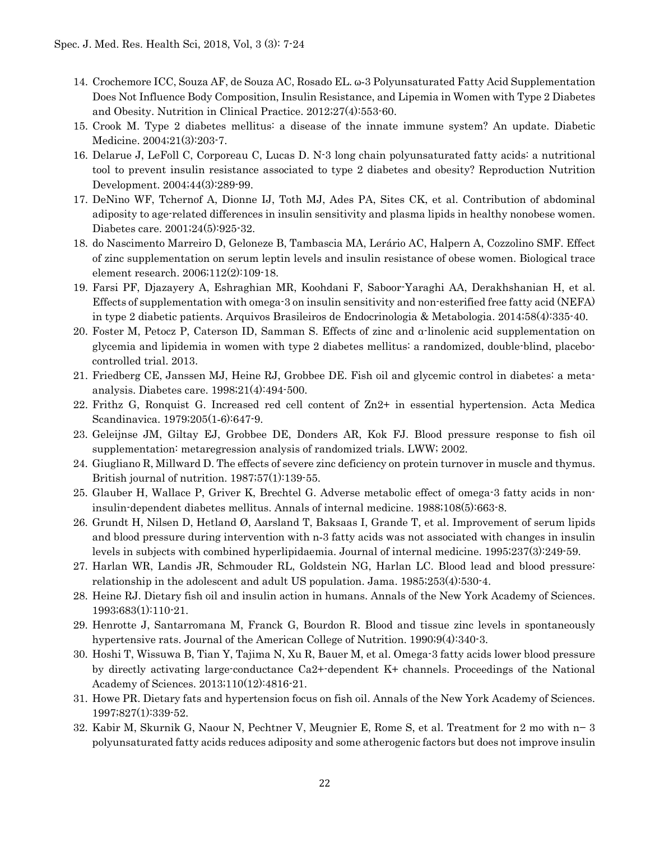- 14. Crochemore ICC, Souza AF, de Souza AC, Rosado EL. ω‐3 Polyunsaturated Fatty Acid Supplementation Does Not Influence Body Composition, Insulin Resistance, and Lipemia in Women with Type 2 Diabetes and Obesity. Nutrition in Clinical Practice. 2012;27(4):553-60.
- 15. Crook M. Type 2 diabetes mellitus: a disease of the innate immune system? An update. Diabetic Medicine. 2004;21(3):203-7.
- 16. Delarue J, LeFoll C, Corporeau C, Lucas D. N-3 long chain polyunsaturated fatty acids: a nutritional tool to prevent insulin resistance associated to type 2 diabetes and obesity? Reproduction Nutrition Development. 2004;44(3):289-99.
- 17. DeNino WF, Tchernof A, Dionne IJ, Toth MJ, Ades PA, Sites CK, et al. Contribution of abdominal adiposity to age-related differences in insulin sensitivity and plasma lipids in healthy nonobese women. Diabetes care. 2001;24(5):925-32.
- 18. do Nascimento Marreiro D, Geloneze B, Tambascia MA, Lerário AC, Halpern A, Cozzolino SMF. Effect of zinc supplementation on serum leptin levels and insulin resistance of obese women. Biological trace element research. 2006;112(2):109-18.
- 19. Farsi PF, Djazayery A, Eshraghian MR, Koohdani F, Saboor-Yaraghi AA, Derakhshanian H, et al. Effects of supplementation with omega-3 on insulin sensitivity and non-esterified free fatty acid (NEFA) in type 2 diabetic patients. Arquivos Brasileiros de Endocrinologia & Metabologia. 2014;58(4):335-40.
- 20. Foster M, Petocz P, Caterson ID, Samman S. Effects of zinc and α-linolenic acid supplementation on glycemia and lipidemia in women with type 2 diabetes mellitus: a randomized, double-blind, placebocontrolled trial. 2013.
- 21. Friedberg CE, Janssen MJ, Heine RJ, Grobbee DE. Fish oil and glycemic control in diabetes: a metaanalysis. Diabetes care. 1998;21(4):494-500.
- 22. Frithz G, Ronquist G. Increased red cell content of Zn2+ in essential hypertension. Acta Medica Scandinavica. 1979;205(1‐6):647-9.
- 23. Geleijnse JM, Giltay EJ, Grobbee DE, Donders AR, Kok FJ. Blood pressure response to fish oil supplementation: metaregression analysis of randomized trials. LWW; 2002.
- 24. Giugliano R, Millward D. The effects of severe zinc deficiency on protein turnover in muscle and thymus. British journal of nutrition. 1987;57(1):139-55.
- 25. Glauber H, Wallace P, Griver K, Brechtel G. Adverse metabolic effect of omega-3 fatty acids in noninsulin-dependent diabetes mellitus. Annals of internal medicine. 1988;108(5):663-8.
- 26. Grundt H, Nilsen D, Hetland Ø, Aarsland T, Baksaas I, Grande T, et al. Improvement of serum lipids and blood pressure during intervention with n‐3 fatty acids was not associated with changes in insulin levels in subjects with combined hyperlipidaemia. Journal of internal medicine. 1995;237(3):249-59.
- 27. Harlan WR, Landis JR, Schmouder RL, Goldstein NG, Harlan LC. Blood lead and blood pressure: relationship in the adolescent and adult US population. Jama. 1985;253(4):530-4.
- 28. Heine RJ. Dietary fish oil and insulin action in humans. Annals of the New York Academy of Sciences. 1993;683(1):110-21.
- 29. Henrotte J, Santarromana M, Franck G, Bourdon R. Blood and tissue zinc levels in spontaneously hypertensive rats. Journal of the American College of Nutrition. 1990;9(4):340-3.
- 30. Hoshi T, Wissuwa B, Tian Y, Tajima N, Xu R, Bauer M, et al. Omega-3 fatty acids lower blood pressure by directly activating large-conductance Ca2+-dependent K+ channels. Proceedings of the National Academy of Sciences. 2013;110(12):4816-21.
- 31. Howe PR. Dietary fats and hypertension focus on fish oil. Annals of the New York Academy of Sciences. 1997;827(1):339-52.
- 32. Kabir M, Skurnik G, Naour N, Pechtner V, Meugnier E, Rome S, et al. Treatment for 2 mo with n− 3 polyunsaturated fatty acids reduces adiposity and some atherogenic factors but does not improve insulin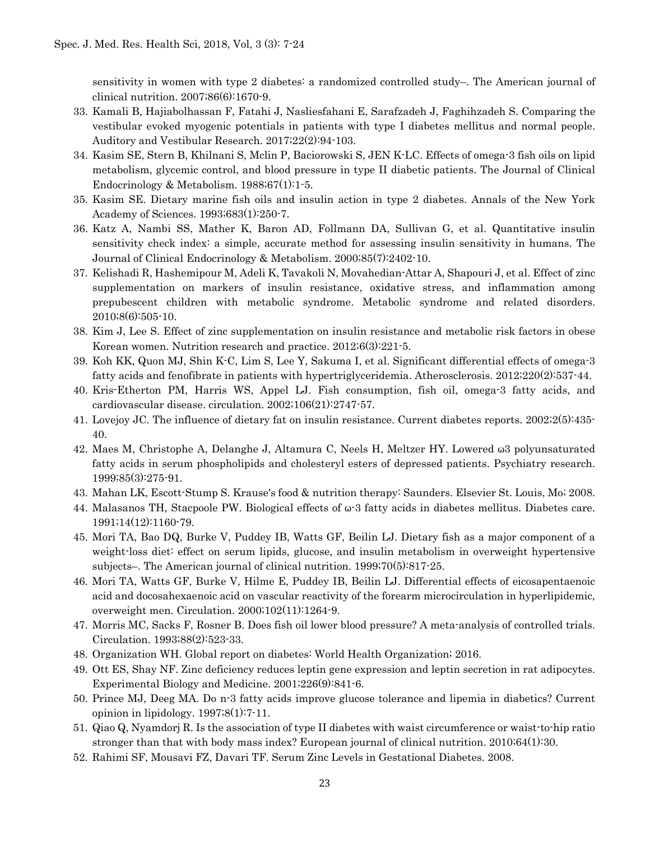sensitivity in women with type 2 diabetes: a randomized controlled study–. The American journal of clinical nutrition. 2007;86(6):1670-9.

- 33. Kamali B, Hajiabolhassan F, Fatahi J, Nasliesfahani E, Sarafzadeh J, Faghihzadeh S. Comparing the vestibular evoked myogenic potentials in patients with type Ι diabetes mellitus and normal people. Auditory and Vestibular Research. 2017;22(2):94-103.
- 34. Kasim SE, Stern B, Khilnani S, Mclin P, Baciorowski S, JEN K-LC. Effects of omega-3 fish oils on lipid metabolism, glycemic control, and blood pressure in type II diabetic patients. The Journal of Clinical Endocrinology & Metabolism. 1988;67(1):1-5.
- 35. Kasim SE. Dietary marine fish oils and insulin action in type 2 diabetes. Annals of the New York Academy of Sciences. 1993;683(1):250-7.
- 36. Katz A, Nambi SS, Mather K, Baron AD, Follmann DA, Sullivan G, et al. Quantitative insulin sensitivity check index: a simple, accurate method for assessing insulin sensitivity in humans. The Journal of Clinical Endocrinology & Metabolism. 2000;85(7):2402-10.
- 37. Kelishadi R, Hashemipour M, Adeli K, Tavakoli N, Movahedian-Attar A, Shapouri J, et al. Effect of zinc supplementation on markers of insulin resistance, oxidative stress, and inflammation among prepubescent children with metabolic syndrome. Metabolic syndrome and related disorders. 2010;8(6):505-10.
- 38. Kim J, Lee S. Effect of zinc supplementation on insulin resistance and metabolic risk factors in obese Korean women. Nutrition research and practice. 2012;6(3):221-5.
- 39. Koh KK, Quon MJ, Shin K-C, Lim S, Lee Y, Sakuma I, et al. Significant differential effects of omega-3 fatty acids and fenofibrate in patients with hypertriglyceridemia. Atherosclerosis. 2012;220(2):537-44.
- 40. Kris-Etherton PM, Harris WS, Appel LJ. Fish consumption, fish oil, omega-3 fatty acids, and cardiovascular disease. circulation. 2002;106(21):2747-57.
- 41. Lovejoy JC. The influence of dietary fat on insulin resistance. Current diabetes reports. 2002;2(5):435- 40.
- 42. Maes M, Christophe A, Delanghe J, Altamura C, Neels H, Meltzer HY. Lowered ω3 polyunsaturated fatty acids in serum phospholipids and cholesteryl esters of depressed patients. Psychiatry research. 1999;85(3):275-91.
- 43. Mahan LK, Escott-Stump S. Krause's food & nutrition therapy: Saunders. Elsevier St. Louis, Mo; 2008.
- 44. Malasanos TH, Stacpoole PW. Biological effects of ω-3 fatty acids in diabetes mellitus. Diabetes care. 1991;14(12):1160-79.
- 45. Mori TA, Bao DQ, Burke V, Puddey IB, Watts GF, Beilin LJ. Dietary fish as a major component of a weight-loss diet: effect on serum lipids, glucose, and insulin metabolism in overweight hypertensive subjects–. The American journal of clinical nutrition. 1999;70(5):817-25.
- 46. Mori TA, Watts GF, Burke V, Hilme E, Puddey IB, Beilin LJ. Differential effects of eicosapentaenoic acid and docosahexaenoic acid on vascular reactivity of the forearm microcirculation in hyperlipidemic, overweight men. Circulation. 2000;102(11):1264-9.
- 47. Morris MC, Sacks F, Rosner B. Does fish oil lower blood pressure? A meta-analysis of controlled trials. Circulation. 1993;88(2):523-33.
- 48. Organization WH. Global report on diabetes: World Health Organization; 2016.
- 49. Ott ES, Shay NF. Zinc deficiency reduces leptin gene expression and leptin secretion in rat adipocytes. Experimental Biology and Medicine. 2001;226(9):841-6.
- 50. Prince MJ, Deeg MA. Do n-3 fatty acids improve glucose tolerance and lipemia in diabetics? Current opinion in lipidology. 1997;8(1):7-11.
- 51. Qiao Q, Nyamdorj R. Is the association of type II diabetes with waist circumference or waist-to-hip ratio stronger than that with body mass index? European journal of clinical nutrition. 2010;64(1):30.
- 52. Rahimi SF, Mousavi FZ, Davari TF. Serum Zinc Levels in Gestational Diabetes. 2008.